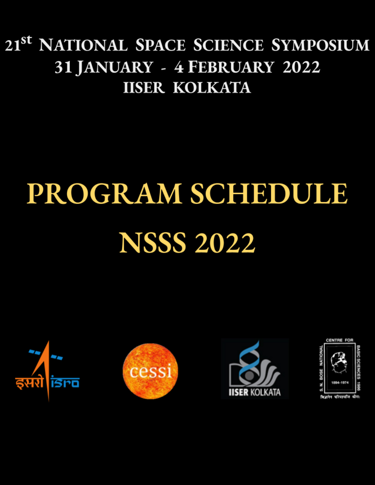# 21<sup>st</sup> NATIONAL SPACE SCIENCE SYMPOSIUM 31 JANUARY - 4 FEBRUARY 2022 **IISER KOLKATA**

# PROGRAM SCHEDULE **NSSS 2022**







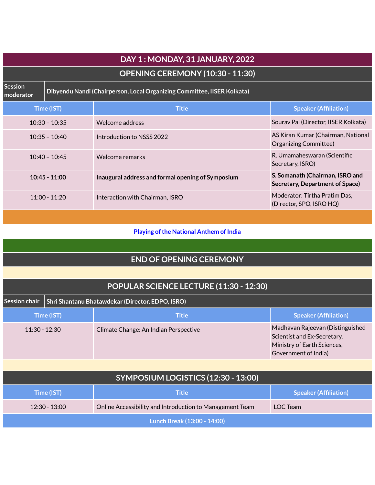|                             | DAY 1: MONDAY, 31 JANUARY, 2022                                         |                                                   |                                                                    |  |  |
|-----------------------------|-------------------------------------------------------------------------|---------------------------------------------------|--------------------------------------------------------------------|--|--|
|                             |                                                                         | OPENING CEREMONY (10:30 - 11:30)                  |                                                                    |  |  |
| <b>Session</b><br>moderator | Dibyendu Nandi (Chairperson, Local Organizing Committee, IISER Kolkata) |                                                   |                                                                    |  |  |
|                             | Time (IST)                                                              | <b>Title</b>                                      | <b>Speaker (Affiliation)</b>                                       |  |  |
|                             | $10:30 - 10:35$                                                         | Welcome address                                   | Sourav Pal (Director, IISER Kolkata)                               |  |  |
| $10:35 - 10:40$             |                                                                         | Introduction to NSSS 2022                         | AS Kiran Kumar (Chairman, National<br>Organizing Committee)        |  |  |
| $10:40 - 10:45$             |                                                                         | Welcome remarks                                   | R. Umamaheswaran (Scientific<br>Secretary, ISRO)                   |  |  |
| $10:45 - 11:00$             |                                                                         | Inaugural address and formal opening of Symposium | S. Somanath (Chairman, ISRO and<br>Secretary, Department of Space) |  |  |
| $11:00 - 11:20$             |                                                                         | Interaction with Chairman, ISRO                   | Moderator: Tirtha Pratim Das,<br>(Director, SPO, ISRO HQ)          |  |  |
|                             |                                                                         |                                                   |                                                                    |  |  |

#### **Playing of the National Anthem of India**

# **END OF OPENING CEREMONY**

| POPULAR SCIENCE LECTURE (11:30 - 12:30) |                                                  |                                       |                                                                                                                        |  |  |
|-----------------------------------------|--------------------------------------------------|---------------------------------------|------------------------------------------------------------------------------------------------------------------------|--|--|
| <b>Session chair</b>                    | Shri Shantanu Bhatawdekar (Director, EDPO, ISRO) |                                       |                                                                                                                        |  |  |
| Time (IST)                              |                                                  | <b>Title</b>                          | <b>Speaker (Affiliation)</b>                                                                                           |  |  |
| $11:30 - 12:30$                         |                                                  | Climate Change: An Indian Perspective | Madhavan Rajeevan (Distinguished<br>Scientist and Ex-Secretary,<br>Ministry of Earth Sciences,<br>Government of India) |  |  |

| SYMPOSIUM LOGISTICS (12:30 - 13:00) |                                                          |                              |  |  |  |
|-------------------------------------|----------------------------------------------------------|------------------------------|--|--|--|
| Time (IST)                          | <b>Title</b>                                             | <b>Speaker (Affiliation)</b> |  |  |  |
| $12:30 - 13:00$                     | Online Accessibility and Introduction to Management Team | LOC Team                     |  |  |  |
| Lunch Break (13:00 - 14:00)         |                                                          |                              |  |  |  |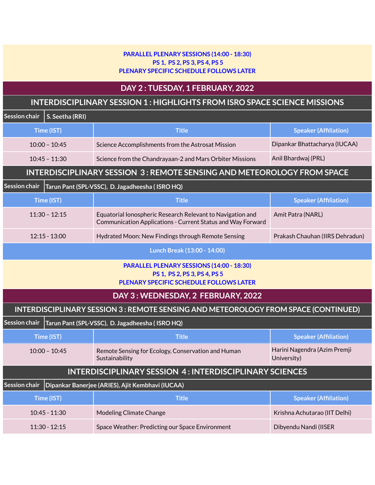#### **PARALLEL PLENARY SESSIONS (14:00 - 18:30) PS 1, PS 2, PS 3, PS 4, PS 5 PLENARY SPECIFIC SCHEDULE FOLLOWS LATER**

#### **DAY 2 : TUESDAY, 1 FEBRUARY, 2022**

# **INTERDISCIPLINARY SESSION 1 : HIGHLIGHTS FROM ISRO SPACE SCIENCE MISSIONS**

| <u>IINTERDISCIP EINART SESSION I . FINSITEIGHTI ST ROMTISRO SPACE SCIENCE MISSIONS</u> |                 |                                                                                                                           |                                             |  |
|----------------------------------------------------------------------------------------|-----------------|---------------------------------------------------------------------------------------------------------------------------|---------------------------------------------|--|
| Session chair                                                                          | S. Seetha (RRI) |                                                                                                                           |                                             |  |
|                                                                                        | Time (IST)      | <b>Title</b>                                                                                                              | <b>Speaker (Affiliation)</b>                |  |
| $10:00 - 10:45$                                                                        |                 | Science Accomplishments from the Astrosat Mission                                                                         | Dipankar Bhattacharya (IUCAA)               |  |
|                                                                                        | $10:45 - 11:30$ | Science from the Chandrayaan-2 and Mars Orbiter Missions                                                                  | Anil Bhardwaj (PRL)                         |  |
|                                                                                        |                 | <b>INTERDISCIPLINARY SESSION 3: REMOTE SENSING AND METEOROLOGY FROM SPACE</b>                                             |                                             |  |
| <b>Session chair</b>                                                                   |                 | Tarun Pant (SPL-VSSC), D. Jagadheesha (ISRO HQ)                                                                           |                                             |  |
|                                                                                        | Time (IST)      | <b>Title</b>                                                                                                              | <b>Speaker (Affiliation)</b>                |  |
|                                                                                        | $11:30 - 12:15$ | Equatorial Ionospheric Research Relevant to Navigation and<br>Communication Applications - Current Status and Way Forward | Amit Patra (NARL)                           |  |
|                                                                                        | $12:15 - 13:00$ | Hydrated Moon: New Findings through Remote Sensing                                                                        | Prakash Chauhan (IIRS Dehradun)             |  |
|                                                                                        |                 | Lunch Break (13:00 - 14:00)                                                                                               |                                             |  |
|                                                                                        |                 | PARALLEL PLENARY SESSIONS (14:00 - 18:30)<br>PS 1, PS 2, PS 3, PS 4, PS 5<br>PLENARY SPECIFIC SCHEDULE FOLLOWS LATER      |                                             |  |
|                                                                                        |                 | DAY 3: WEDNESDAY, 2 FEBRUARY, 2022                                                                                        |                                             |  |
|                                                                                        |                 | INTERDISCIPLINARY SESSION 3: REMOTE SENSING AND METEOROLOGY FROM SPACE (CONTINUED)                                        |                                             |  |
| <b>Session chair</b>                                                                   |                 | Tarun Pant (SPL-VSSC), D. Jagadheesha (ISRO HQ)                                                                           |                                             |  |
|                                                                                        | Time (IST)      | <b>Title</b>                                                                                                              | <b>Speaker (Affiliation)</b>                |  |
| $10:00 - 10:45$                                                                        |                 | Remote Sensing for Ecology, Conservation and Human<br>Sustainability                                                      | Harini Nagendra (Azim Premji<br>University) |  |
| <b>INTERDISCIPLINARY SESSION 4: INTERDISCIPLINARY SCIENCES</b>                         |                 |                                                                                                                           |                                             |  |
| Session chair                                                                          |                 | Dipankar Banerjee (ARIES), Ajit Kembhavi (IUCAA)                                                                          |                                             |  |
|                                                                                        | Time (IST)      | <b>Title</b>                                                                                                              | <b>Speaker (Affiliation)</b>                |  |
|                                                                                        | 10:45 - 11:30   | Modeling Climate Change                                                                                                   | Krishna Achutarao (IIT Delhi)               |  |
| $11:30 - 12:15$                                                                        |                 | Space Weather: Predicting our Space Environment                                                                           | Dibyendu Nandi (IISER                       |  |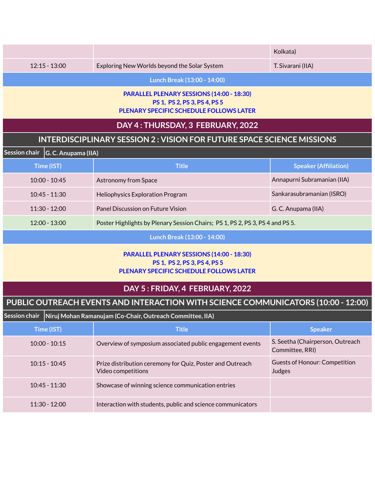|                                                                                                |                                                                                                                      | Kolkata)                     |  |  |  |  |
|------------------------------------------------------------------------------------------------|----------------------------------------------------------------------------------------------------------------------|------------------------------|--|--|--|--|
| $12:15 - 13:00$<br>Exploring New Worlds beyond the Solar System                                |                                                                                                                      | T. Sivarani (IIA)            |  |  |  |  |
|                                                                                                | Lunch Break (13:00 - 14:00)                                                                                          |                              |  |  |  |  |
|                                                                                                | PARALLEL PLENARY SESSIONS (14:00 - 18:30)<br>PS 1, PS 2, PS 3, PS 4, PS 5<br>PLENARY SPECIFIC SCHEDULE FOLLOWS LATER |                              |  |  |  |  |
|                                                                                                | DAY 4: THURSDAY, 3 FEBRUARY, 2022                                                                                    |                              |  |  |  |  |
| INTERDISCIPLINARY SESSION 2 : VISION FOR FUTURE SPACE SCIENCE MISSIONS                         |                                                                                                                      |                              |  |  |  |  |
| Session chair<br>G. C. Anupama (IIA)                                                           |                                                                                                                      |                              |  |  |  |  |
| Time (IST)                                                                                     | <b>Title</b>                                                                                                         | <b>Speaker (Affiliation)</b> |  |  |  |  |
| $10:00 - 10:45$                                                                                | <b>Astronomy from Space</b>                                                                                          | Annapurni Subramanian (IIA)  |  |  |  |  |
| $10:45 - 11:30$                                                                                | <b>Heliophysics Exploration Program</b>                                                                              | Sankarasubramanian (ISRO)    |  |  |  |  |
| $11:30 - 12:00$                                                                                | Panel Discussion on Future Vision                                                                                    | G. C. Anupama (IIA)          |  |  |  |  |
| 12:00 - 13:00<br>Poster Highlights by Plenary Session Chairs; PS 1, PS 2, PS 3, PS 4 and PS 5. |                                                                                                                      |                              |  |  |  |  |
| Lunch Break (13:00 - 14:00)                                                                    |                                                                                                                      |                              |  |  |  |  |
| PARALLEL PLENARY SESSIONS (14:00 - 18:30)<br>PS 1, PS 2, PS 3, PS 4, PS 5                      |                                                                                                                      |                              |  |  |  |  |

#### **PLENARY SPECIFIC SCHEDULE FOLLOWS LATER**

### **DAY 5 : FRIDAY, 4 FEBRUARY, 2022**

# **PUBLIC OUTREACH EVENTS AND INTERACTION WITH SCIENCE COMMUNICATORS (10:00 - 12:00)**

| Session chair   |                 | Niruj Mohan Ramanujam (Co-Chair, Outreach Committee, IIA)                       |                                                     |  |  |  |
|-----------------|-----------------|---------------------------------------------------------------------------------|-----------------------------------------------------|--|--|--|
| Time (IST)      |                 | <b>Title</b>                                                                    | <b>Speaker</b>                                      |  |  |  |
| $10:00 - 10:15$ |                 | Overview of symposium associated public engagement events                       | S. Seetha (Chairperson, Outreach<br>Committee, RRI) |  |  |  |
|                 | $10:15 - 10:45$ | Prize distribution ceremony for Quiz, Poster and Outreach<br>Video competitions | Guests of Honour: Competition<br>Judges             |  |  |  |
|                 | $10:45 - 11:30$ | Showcase of winning science communication entries                               |                                                     |  |  |  |
|                 | $11:30 - 12:00$ | Interaction with students, public and science communicators                     |                                                     |  |  |  |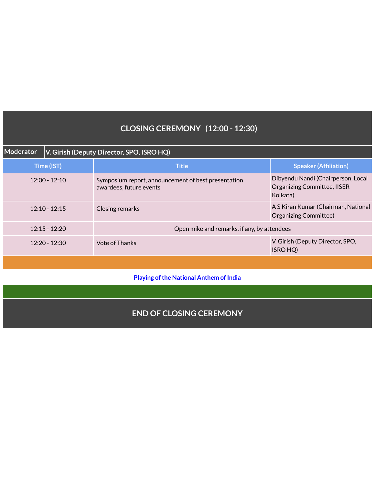# **CLOSING CEREMONY (12:00 - 12:30)**

| <b>Moderator</b> | V. Girish (Deputy Director, SPO, ISRO HQ) |                                                                                |                                                                                      |  |
|------------------|-------------------------------------------|--------------------------------------------------------------------------------|--------------------------------------------------------------------------------------|--|
| Time (IST)       |                                           | <b>Title</b>                                                                   | <b>Speaker (Affiliation)</b>                                                         |  |
|                  | $12:00 - 12:10$                           | Symposium report, announcement of best presentation<br>awardees, future events | Dibyendu Nandi (Chairperson, Local<br><b>Organizing Committee, IISER</b><br>Kolkata) |  |
| $12:10 - 12:15$  |                                           | Closing remarks                                                                | A S Kiran Kumar (Chairman, National<br>Organizing Committee)                         |  |
|                  | $12:15 - 12:20$                           | Open mike and remarks, if any, by attendees                                    |                                                                                      |  |
|                  | $12:20 - 12:30$                           | Vote of Thanks                                                                 | V. Girish (Deputy Director, SPO,<br>ISRO HQ)                                         |  |

#### **Playing of the National Anthem of India**

#### **END OF CLOSING CEREMONY**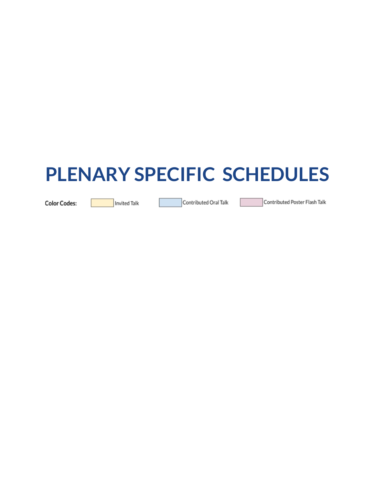# **PLENARY SPECIFIC SCHEDULES**

**Color Codes:** 

Invited Talk

Contributed Oral Talk

Contributed Poster Flash Talk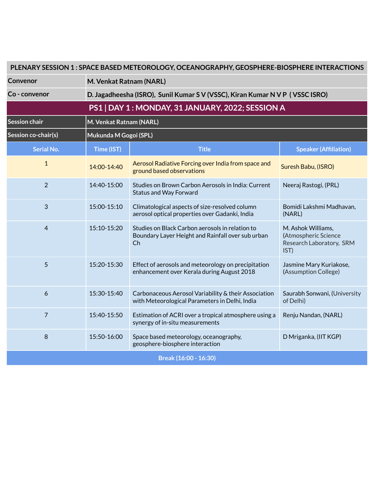| PLENARY SESSION 1: SPACE BASED METEOROLOGY, OCEANOGRAPHY, GEOSPHERE-BIOSPHERE INTERACTIONS |                                                  |                                                                                                            |                                                                                |  |  |  |
|--------------------------------------------------------------------------------------------|--------------------------------------------------|------------------------------------------------------------------------------------------------------------|--------------------------------------------------------------------------------|--|--|--|
| Convenor                                                                                   |                                                  | M. Venkat Ratnam (NARL)                                                                                    |                                                                                |  |  |  |
| Co - convenor                                                                              |                                                  | D. Jagadheesha (ISRO), Sunil Kumar S V (VSSC), Kiran Kumar N V P (VSSC ISRO)                               |                                                                                |  |  |  |
|                                                                                            | PS1   DAY 1: MONDAY, 31 JANUARY, 2022; SESSION A |                                                                                                            |                                                                                |  |  |  |
| Session chair                                                                              | M. Venkat Ratnam (NARL)                          |                                                                                                            |                                                                                |  |  |  |
| Session co-chair(s)                                                                        | Mukunda M Gogoi (SPL)                            |                                                                                                            |                                                                                |  |  |  |
| <b>Serial No.</b>                                                                          | Time (IST)                                       | <b>Title</b>                                                                                               | <b>Speaker (Affiliation)</b>                                                   |  |  |  |
| $\mathbf{1}$                                                                               | 14:00-14:40                                      | Aerosol Radiative Forcing over India from space and<br>ground based observations                           | Suresh Babu, (ISRO)                                                            |  |  |  |
| $\overline{2}$                                                                             | 14:40-15:00                                      | Studies on Brown Carbon Aerosols in India: Current<br><b>Status and Way Forward</b>                        | Neeraj Rastogi, (PRL)                                                          |  |  |  |
| 3                                                                                          | 15:00-15:10                                      | Climatological aspects of size-resolved column<br>aerosol optical properties over Gadanki, India           | Bomidi Lakshmi Madhavan,<br>(NARL)                                             |  |  |  |
| $\overline{4}$                                                                             | 15:10-15:20                                      | Studies on Black Carbon aerosols in relation to<br>Boundary Layer Height and Rainfall over sub urban<br>Ch | M. Ashok Williams,<br>(Atmospheric Science<br>Research Laboratory, SRM<br>IST) |  |  |  |
| 5                                                                                          | 15:20-15:30                                      | Effect of aerosols and meteorology on precipitation<br>enhancement over Kerala during August 2018          | Jasmine Mary Kuriakose,<br>(Assumption College)                                |  |  |  |
| 6                                                                                          | 15:30-15:40                                      | Carbonaceous Aerosol Variability & their Association<br>with Meteorological Parameters in Delhi, India     | Saurabh Sonwani, (University<br>of Delhi)                                      |  |  |  |
| $\overline{7}$                                                                             | 15:40-15:50                                      | Estimation of ACRI over a tropical atmosphere using a<br>synergy of in-situ measurements                   | Renju Nandan, (NARL)                                                           |  |  |  |
| 8                                                                                          | 15:50-16:00                                      | Space based meteorology, oceanography,<br>geosphere-biosphere interaction                                  | D Mriganka, (IIT KGP)                                                          |  |  |  |
|                                                                                            |                                                  | Break (16:00 - 16:30)                                                                                      |                                                                                |  |  |  |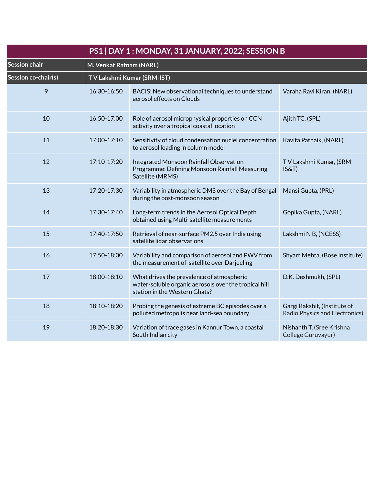| PS1   DAY 1: MONDAY, 31 JANUARY, 2022; SESSION B |             |                                                                                                                                     |                                                                       |  |
|--------------------------------------------------|-------------|-------------------------------------------------------------------------------------------------------------------------------------|-----------------------------------------------------------------------|--|
| Session chair                                    |             | M. Venkat Ratnam (NARL)                                                                                                             |                                                                       |  |
| Session co-chair(s)                              |             | TV Lakshmi Kumar (SRM-IST)                                                                                                          |                                                                       |  |
| 9                                                | 16:30-16:50 | BACIS: New observational techniques to understand<br>aerosol effects on Clouds                                                      | Varaha Ravi Kiran, (NARL)                                             |  |
| 10                                               | 16:50-17:00 | Role of aerosol microphysical properties on CCN<br>activity over a tropical coastal location                                        | Ajith TC, (SPL)                                                       |  |
| 11                                               | 17:00-17:10 | Sensitivity of cloud condensation nuclei concentration<br>to aerosol loading in column model                                        | Kavita Patnaik, (NARL)                                                |  |
| 12                                               | 17:10-17:20 | <b>Integrated Monsoon Rainfall Observation</b><br>Programme: Defining Monsoon Rainfall Measuring<br>Satellite (MRMS)                | TV Lakshmi Kumar, (SRM<br>IS&T)                                       |  |
| 13                                               | 17:20-17:30 | Variability in atmospheric DMS over the Bay of Bengal<br>during the post-monsoon season                                             | Mansi Gupta, (PRL)                                                    |  |
| 14                                               | 17:30-17:40 | Long-term trends in the Aerosol Optical Depth<br>obtained using Multi-satellite measurements                                        | Gopika Gupta, (NARL)                                                  |  |
| 15                                               | 17:40-17:50 | Retrieval of near-surface PM2.5 over India using<br>satellite lidar observations                                                    | Lakshmi N B, (NCESS)                                                  |  |
| 16                                               | 17:50-18:00 | Variability and comparison of aerosol and PWV from<br>the measurement of satellite over Darjeeling                                  | Shyam Mehta, (Bose Institute)                                         |  |
| 17                                               | 18:00-18:10 | What drives the prevalence of atmospheric<br>water-soluble organic aerosols over the tropical hill<br>station in the Western Ghats? | D.K. Deshmukh, (SPL)                                                  |  |
| 18                                               | 18:10-18:20 | Probing the genesis of extreme BC episodes over a<br>polluted metropolis near land-sea boundary                                     | Gargi Rakshit, (Institute of<br><b>Radio Physics and Electronics)</b> |  |
| 19                                               | 18:20-18:30 | Variation of trace gases in Kannur Town, a coastal<br>South Indian city                                                             | Nishanth T, (Sree Krishna<br>College Guruvayur)                       |  |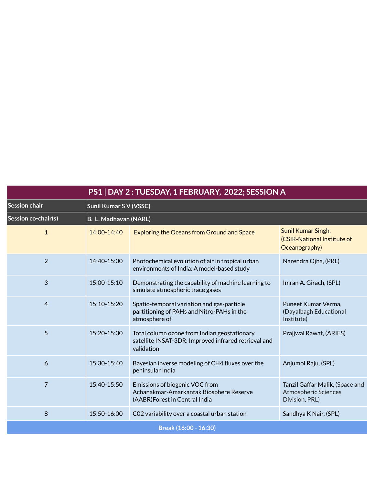| PS1   DAY 2 : TUESDAY, 1 FEBRUARY, 2022; SESSION A |                        |                                                                                                                    |                                                                                  |  |
|----------------------------------------------------|------------------------|--------------------------------------------------------------------------------------------------------------------|----------------------------------------------------------------------------------|--|
| Session chair                                      | Sunil Kumar S V (VSSC) |                                                                                                                    |                                                                                  |  |
| Session co-chair(s)                                | B. L. Madhavan (NARL)  |                                                                                                                    |                                                                                  |  |
| $\mathbf{1}$                                       | 14:00-14:40            | <b>Exploring the Oceans from Ground and Space</b>                                                                  | Sunil Kumar Singh,<br>(CSIR-National Institute of<br>Oceanography)               |  |
| $\overline{2}$                                     | 14:40-15:00            | Photochemical evolution of air in tropical urban<br>environments of India: A model-based study                     | Narendra Ojha, (PRL)                                                             |  |
| 3                                                  | 15:00-15:10            | Demonstrating the capability of machine learning to<br>simulate atmospheric trace gases                            | Imran A. Girach, (SPL)                                                           |  |
| $\overline{4}$                                     | 15:10-15:20            | Spatio-temporal variation and gas-particle<br>partitioning of PAHs and Nitro-PAHs in the<br>atmosphere of          | Puneet Kumar Verma,<br>(Dayalbagh Educational<br>Institute)                      |  |
| 5                                                  | 15:20-15:30            | Total column ozone from Indian geostationary<br>satellite INSAT-3DR: Improved infrared retrieval and<br>validation | Prajjwal Rawat, (ARIES)                                                          |  |
| 6                                                  | 15:30-15:40            | Bayesian inverse modeling of CH4 fluxes over the<br>peninsular India                                               | Anjumol Raju, (SPL)                                                              |  |
| $\overline{7}$                                     | 15:40-15:50            | Emissions of biogenic VOC from<br>Achanakmar-Amarkantak Biosphere Reserve<br>(AABR)Forest in Central India         | Tanzil Gaffar Malik, (Space and<br><b>Atmospheric Sciences</b><br>Division, PRL) |  |
| 8                                                  | 15:50-16:00            | C02 variability over a coastal urban station                                                                       | Sandhya K Nair, (SPL)                                                            |  |
| Break (16:00 - 16:30)                              |                        |                                                                                                                    |                                                                                  |  |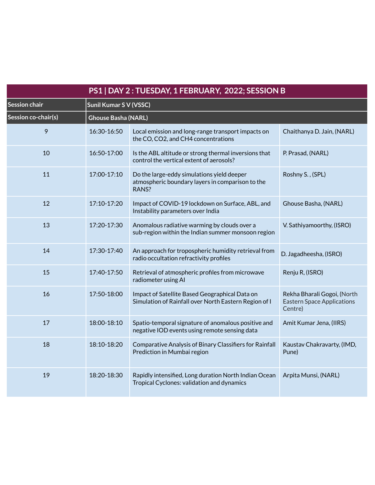| PS1   DAY 2 : TUESDAY, 1 FEBRUARY, 2022; SESSION B |                               |                                                                                                         |                                                                             |  |
|----------------------------------------------------|-------------------------------|---------------------------------------------------------------------------------------------------------|-----------------------------------------------------------------------------|--|
| Session chair                                      | <b>Sunil Kumar S V (VSSC)</b> |                                                                                                         |                                                                             |  |
| Session co-chair(s)                                | <b>Ghouse Basha (NARL)</b>    |                                                                                                         |                                                                             |  |
| 9                                                  | 16:30-16:50                   | Local emission and long-range transport impacts on<br>the CO, CO2, and CH4 concentrations               | Chaithanya D. Jain, (NARL)                                                  |  |
| 10                                                 | 16:50-17:00                   | Is the ABL altitude or strong thermal inversions that<br>control the vertical extent of aerosols?       | P. Prasad, (NARL)                                                           |  |
| 11                                                 | 17:00-17:10                   | Do the large-eddy simulations yield deeper<br>atmospheric boundary layers in comparison to the<br>RANS? | Roshny S., (SPL)                                                            |  |
| 12                                                 | 17:10-17:20                   | Impact of COVID-19 lockdown on Surface, ABL, and<br>Instability parameters over India                   | Ghouse Basha, (NARL)                                                        |  |
| 13                                                 | 17:20-17:30                   | Anomalous radiative warming by clouds over a<br>sub-region within the Indian summer monsoon region      | V. Sathiyamoorthy, (ISRO)                                                   |  |
| 14                                                 | 17:30-17:40                   | An approach for tropospheric humidity retrieval from<br>radio occultation refractivity profiles         | D. Jagadheesha, (ISRO)                                                      |  |
| 15                                                 | 17:40-17:50                   | Retrieval of atmospheric profiles from microwave<br>radiometer using AI                                 | Renju R, (ISRO)                                                             |  |
| 16                                                 | 17:50-18:00                   | Impact of Satellite Based Geographical Data on<br>Simulation of Rainfall over North Eastern Region of I | Rekha Bharali Gogoi, (North<br><b>Eastern Space Applications</b><br>Centre) |  |
| 17                                                 | 18:00-18:10                   | Spatio-temporal signature of anomalous positive and<br>negative IOD events using remote sensing data    | Amit Kumar Jena, (IIRS)                                                     |  |
| 18                                                 | 18:10-18:20                   | Comparative Analysis of Binary Classifiers for Rainfall<br>Prediction in Mumbai region                  | Kaustav Chakravarty, (IMD,<br>Pune)                                         |  |
| 19                                                 | 18:20-18:30                   | Rapidly intensified, Long duration North Indian Ocean<br>Tropical Cyclones: validation and dynamics     | Arpita Munsi, (NARL)                                                        |  |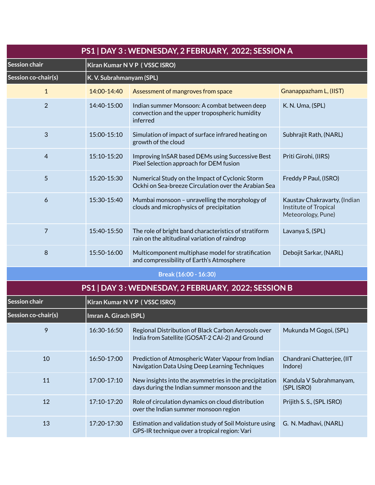| PS1   DAY 3: WEDNESDAY, 2 FEBRUARY, 2022; SESSION A |                          |                                                                                                            |                                                                             |  |  |
|-----------------------------------------------------|--------------------------|------------------------------------------------------------------------------------------------------------|-----------------------------------------------------------------------------|--|--|
| <b>Session chair</b>                                |                          | Kiran Kumar N V P (VSSC ISRO)                                                                              |                                                                             |  |  |
| Session co-chair(s)                                 | K. V. Subrahmanyam (SPL) |                                                                                                            |                                                                             |  |  |
| 1                                                   | 14:00-14:40              | Assessment of mangroves from space                                                                         | Gnanappazham L, (IIST)                                                      |  |  |
| $\overline{2}$                                      | 14:40-15:00              | Indian summer Monsoon: A combat between deep<br>convection and the upper tropospheric humidity<br>inferred | K. N. Uma, (SPL)                                                            |  |  |
| 3                                                   | 15:00-15:10              | Simulation of impact of surface infrared heating on<br>growth of the cloud                                 | Subhrajit Rath, (NARL)                                                      |  |  |
| $\overline{4}$                                      | 15:10-15:20              | Improving InSAR based DEMs using Successive Best<br>Pixel Selection approach for DEM fusion                | Priti Girohi, (IIRS)                                                        |  |  |
| 5                                                   | 15:20-15:30              | Numerical Study on the Impact of Cyclonic Storm<br>Ockhi on Sea-breeze Circulation over the Arabian Sea    | Freddy P Paul, (ISRO)                                                       |  |  |
| 6                                                   | 15:30-15:40              | Mumbai monsoon - unravelling the morphology of<br>clouds and microphysics of precipitation                 | Kaustav Chakravarty, (Indian<br>Institute of Tropical<br>Meteorology, Pune) |  |  |
| 7                                                   | 15:40-15:50              | The role of bright band characteristics of stratiform<br>rain on the altitudinal variation of raindrop     | Lavanya S, (SPL)                                                            |  |  |
| 8                                                   | 15:50-16:00              | Multicomponent multiphase model for stratification<br>and compressibility of Earth's Atmosphere            | Debojit Sarkar, (NARL)                                                      |  |  |
|                                                     |                          | Break (16:00 - 16:30)                                                                                      |                                                                             |  |  |
|                                                     |                          | PS1   DAY 3 : WEDNESDAY, 2 FEBRUARY, 2022; SESSION B                                                       |                                                                             |  |  |
| <b>Session chair</b>                                |                          | Kiran Kumar N V P (VSSC ISRO)                                                                              |                                                                             |  |  |
| Session co-chair(s)                                 | Imran A. Girach (SPL)    |                                                                                                            |                                                                             |  |  |
| 9                                                   | 16:30-16:50              | Regional Distribution of Black Carbon Aerosols over<br>India from Satellite (GOSAT-2 CAI-2) and Ground     | Mukunda M Gogoi, (SPL)                                                      |  |  |
| 10                                                  | 16:50-17:00              | Prediction of Atmospheric Water Vapour from Indian<br>Navigation Data Using Deep Learning Techniques       | Chandrani Chatterjee, (IIT<br>Indore)                                       |  |  |
| 11                                                  | 17:00-17:10              | New insights into the asymmetries in the precipitation<br>days during the Indian summer monsoon and the    | Kandula V Subrahmanyam,<br>(SPL ISRO)                                       |  |  |
| 12                                                  | 17:10-17:20              | Role of circulation dynamics on cloud distribution<br>over the Indian summer monsoon region                | Prijith S. S., (SPL ISRO)                                                   |  |  |
| 13                                                  | 17:20-17:30              | Estimation and validation study of Soil Moisture using<br>GPS-IR technique over a tropical region: Vari    | G. N. Madhavi, (NARL)                                                       |  |  |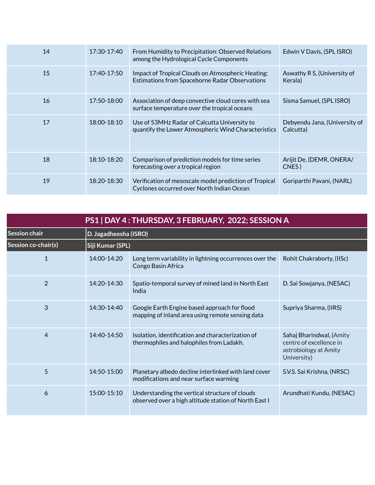| 14 | 17:30-17:40     | From Humidity to Precipitation: Observed Relations<br>among the Hydrological Cycle Components       | Edwin V Davis, (SPL ISRO)                  |
|----|-----------------|-----------------------------------------------------------------------------------------------------|--------------------------------------------|
| 15 | $17:40-17:50$   | Impact of Tropical Clouds on Atmospheric Heating:<br>Estimations from Spaceborne Radar Observations | Aswathy R S, (University of<br>Kerala)     |
| 16 | $17:50 - 18:00$ | Association of deep convective cloud cores with sea<br>surface temperature over the tropical oceans | Sisma Samuel, (SPL ISRO)                   |
| 17 | 18:00-18:10     | Use of 53MHz Radar of Calcutta University to<br>quantify the Lower Atmospheric Wind Characteristics | Debyendu Jana, (University of<br>Calcutta) |
| 18 | 18:10-18:20     | Comparison of prediction models for time series<br>forecasting over a tropical region               | Arijit De, (DEMR, ONERA/<br>CNES)          |
| 19 | 18:20-18:30     | Verification of mesoscale model prediction of Tropical<br>Cyclones occurred over North Indian Ocean | Goriparthi Pavani, (NARL)                  |

| PS1   DAY 4: THURSDAY, 3 FEBRUARY, 2022; SESSION A |                       |                                                                                                         |                                                                                             |
|----------------------------------------------------|-----------------------|---------------------------------------------------------------------------------------------------------|---------------------------------------------------------------------------------------------|
| <b>Session chair</b>                               | D. Jagadheesha (ISRO) |                                                                                                         |                                                                                             |
| Session co-chair(s)                                | Siji Kumar (SPL)      |                                                                                                         |                                                                                             |
| 1                                                  | 14:00-14:20           | Long term variability in lightning occurrences over the<br>Congo Basin Africa                           | Rohit Chakraborty, (IISc)                                                                   |
| $\overline{2}$                                     | $14:20 - 14:30$       | Spatio-temporal survey of mined land in North East<br>India                                             | D. Sai Sowjanya, (NESAC)                                                                    |
| 3                                                  | 14:30-14:40           | Google Earth Engine based approach for flood<br>mapping of inland area using remote sensing data        | Supriya Sharma, (IIRS)                                                                      |
| $\overline{4}$                                     | $14:40-14:50$         | Isolation, identification and characterization of<br>thermophiles and halophiles from Ladakh.           | Sahaj Bharindwal, (Amity<br>centre of excellence in<br>astrobiology at Amity<br>University) |
| 5                                                  | $14:50 - 15:00$       | Planetary albedo decline interlinked with land cover<br>modifications and near surface warming          | S.V.S. Sai Krishna, (NRSC)                                                                  |
| 6                                                  | $15:00 - 15:10$       | Understanding the vertical structure of clouds<br>observed over a high altitude station of North East I | Arundhati Kundu, (NESAC)                                                                    |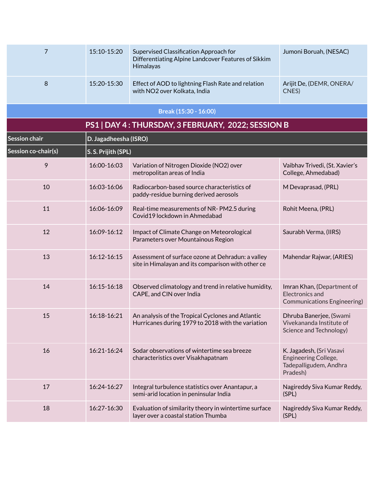| 7                   | 15:10-15:20           | Supervised Classification Approach for<br>Differentiating Alpine Landcover Features of Sikkim<br>Himalayas | Jumoni Boruah, (NESAC)                                                                 |
|---------------------|-----------------------|------------------------------------------------------------------------------------------------------------|----------------------------------------------------------------------------------------|
| 8                   | 15:20-15:30           | Effect of AOD to lightning Flash Rate and relation<br>with NO2 over Kolkata, India                         | Arijit De, (DEMR, ONERA/<br>CNES)                                                      |
|                     |                       | Break (15:30 - 16:00)                                                                                      |                                                                                        |
|                     |                       | PS1   DAY 4 : THURSDAY, 3 FEBRUARY, 2022; SESSION B                                                        |                                                                                        |
| Session chair       | D. Jagadheesha (ISRO) |                                                                                                            |                                                                                        |
| Session co-chair(s) | S. S. Prijith (SPL)   |                                                                                                            |                                                                                        |
| 9                   | 16:00-16:03           | Variation of Nitrogen Dioxide (NO2) over<br>metropolitan areas of India                                    | Vaibhav Trivedi, (St. Xavier's<br>College, Ahmedabad)                                  |
| 10                  | 16:03-16:06           | Radiocarbon-based source characteristics of<br>paddy-residue burning derived aerosols                      | M Devaprasad, (PRL)                                                                    |
| 11                  | 16:06-16:09           | Real-time measurements of NR-PM2.5 during<br>Covid19 lockdown in Ahmedabad                                 | Rohit Meena, (PRL)                                                                     |
| 12                  | 16:09-16:12           | Impact of Climate Change on Meteorological<br>Parameters over Mountainous Region                           | Saurabh Verma, (IIRS)                                                                  |
| 13                  | 16:12-16:15           | Assessment of surface ozone at Dehradun: a valley<br>site in Himalayan and its comparison with other ce    | Mahendar Rajwar, (ARIES)                                                               |
| 14                  | 16:15-16:18           | Observed climatology and trend in relative humidity,<br>CAPE, and CIN over India                           | Imran Khan, (Department of<br><b>Electronics and</b><br>Communications Engineering)    |
| 15                  | 16:18-16:21           | An analysis of the Tropical Cyclones and Atlantic<br>Hurricanes during 1979 to 2018 with the variation     | Dhruba Banerjee, (Swami<br>Vivekananda Institute of<br>Science and Technology)         |
| 16                  | 16:21-16:24           | Sodar observations of wintertime sea breeze<br>characteristics over Visakhapatnam                          | K. Jagadesh, (Sri Vasavi<br>Engineering College,<br>Tadepalligudem, Andhra<br>Pradesh) |
| 17                  | 16:24-16:27           | Integral turbulence statistics over Anantapur, a<br>semi-arid location in peninsular India                 | Nagireddy Siva Kumar Reddy,<br>(SPL)                                                   |
| 18                  | 16:27-16:30           | Evaluation of similarity theory in wintertime surface<br>layer over a coastal station Thumba               | Nagireddy Siva Kumar Reddy,<br>(SPL)                                                   |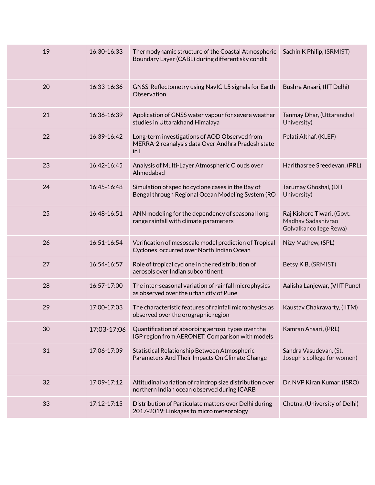| 19 | 16:30-16:33 | Thermodynamic structure of the Coastal Atmospheric<br>Boundary Layer (CABL) during different sky condit    | Sachin K Philip, (SRMIST)                                                   |
|----|-------------|------------------------------------------------------------------------------------------------------------|-----------------------------------------------------------------------------|
| 20 | 16:33-16:36 | GNSS-Reflectometry using NavIC-L5 signals for Earth<br>Observation                                         | Bushra Ansari, (IIT Delhi)                                                  |
| 21 | 16:36-16:39 | Application of GNSS water vapour for severe weather<br>studies in Uttarakhand Himalaya                     | Tanmay Dhar, (Uttaranchal<br>University)                                    |
| 22 | 16:39-16:42 | Long-term investigations of AOD Observed from<br>MERRA-2 reanalysis data Over Andhra Pradesh state<br>in 1 | Pelati Althaf, (KLEF)                                                       |
| 23 | 16:42-16:45 | Analysis of Multi-Layer Atmospheric Clouds over<br>Ahmedabad                                               | Harithasree Sreedevan, (PRL)                                                |
| 24 | 16:45-16:48 | Simulation of specific cyclone cases in the Bay of<br>Bengal through Regional Ocean Modeling System (RO    | Tarumay Ghoshal, (DIT<br>University)                                        |
| 25 | 16:48-16:51 | ANN modeling for the dependency of seasonal long<br>range rainfall with climate parameters                 | Raj Kishore Tiwari, (Govt.<br>Madhav Sadashivrao<br>Golvalkar college Rewa) |
| 26 | 16:51-16:54 | Verification of mesoscale model prediction of Tropical<br>Cyclones occurred over North Indian Ocean        | Nizy Mathew, (SPL)                                                          |
| 27 | 16:54-16:57 | Role of tropical cyclone in the redistribution of<br>aerosols over Indian subcontinent                     | Betsy K B, (SRMIST)                                                         |
| 28 | 16:57-17:00 | The inter-seasonal variation of rainfall microphysics<br>as observed over the urban city of Pune           | Aalisha Lanjewar, (VIIT Pune)                                               |
| 29 | 17:00-17:03 | The characteristic features of rainfall microphysics as<br>observed over the orographic region             | Kaustav Chakravarty, (IITM)                                                 |
| 30 | 17:03-17:06 | Quantification of absorbing aerosol types over the<br>IGP region from AERONET: Comparison with models      | Kamran Ansari, (PRL)                                                        |
| 31 | 17:06-17:09 | Statistical Relationship Between Atmospheric<br>Parameters And Their Impacts On Climate Change             | Sandra Vasudevan, (St.<br>Joseph's college for women)                       |
| 32 | 17:09-17:12 | Altitudinal variation of raindrop size distribution over<br>northern Indian ocean observed during ICARB    | Dr. NVP Kiran Kumar, (ISRO)                                                 |
| 33 | 17:12-17:15 | Distribution of Particulate matters over Delhi during<br>2017-2019: Linkages to micro meteorology          | Chetna, (University of Delhi)                                               |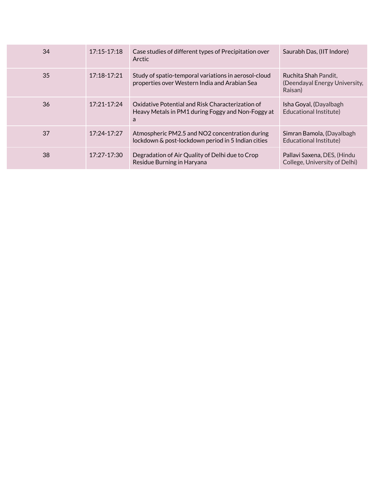| 34 | $17:15 - 17:18$ | Case studies of different types of Precipitation over<br>Arctic                                            | Saurabh Das, (IIT Indore)                                        |
|----|-----------------|------------------------------------------------------------------------------------------------------------|------------------------------------------------------------------|
| 35 | $17:18-17:21$   | Study of spatio-temporal variations in aerosol-cloud<br>properties over Western India and Arabian Sea      | Ruchita Shah Pandit,<br>(Deendayal Energy University,<br>Raisan) |
| 36 | $17:21 - 17:24$ | Oxidative Potential and Risk Characterization of<br>Heavy Metals in PM1 during Foggy and Non-Foggy at<br>a | Isha Goyal, (Dayalbagh<br><b>Educational Institute)</b>          |
| 37 | 17:24-17:27     | Atmospheric PM2.5 and NO2 concentration during<br>lockdown & post-lockdown period in 5 Indian cities       | Simran Bamola, (Dayalbagh<br>Educational Institute)              |
| 38 | 17:27-17:30     | Degradation of Air Quality of Delhi due to Crop<br>Residue Burning in Haryana                              | Pallavi Saxena, DES, (Hindu<br>College, University of Delhi)     |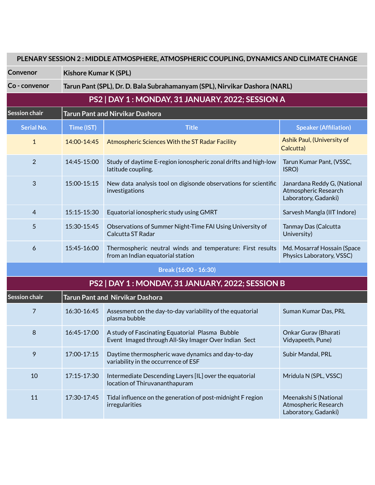| PLENARY SESSION 2: MIDDLE ATMOSPHERE, ATMOSPHERIC COUPLING, DYNAMICS AND CLIMATE CHANGE |                              |                                                                                                         |                                                                              |  |  |
|-----------------------------------------------------------------------------------------|------------------------------|---------------------------------------------------------------------------------------------------------|------------------------------------------------------------------------------|--|--|
| Convenor                                                                                | <b>Kishore Kumar K (SPL)</b> |                                                                                                         |                                                                              |  |  |
| Co - convenor                                                                           |                              | Tarun Pant (SPL), Dr. D. Bala Subrahamanyam (SPL), Nirvikar Dashora (NARL)                              |                                                                              |  |  |
|                                                                                         |                              | PS2   DAY 1 : MONDAY, 31 JANUARY, 2022; SESSION A                                                       |                                                                              |  |  |
| <b>Session chair</b>                                                                    |                              | <b>Tarun Pant and Nirvikar Dashora</b>                                                                  |                                                                              |  |  |
| <b>Serial No.</b>                                                                       | Time (IST)                   | <b>Title</b>                                                                                            | <b>Speaker (Affiliation)</b>                                                 |  |  |
| $\mathbf{1}$                                                                            | 14:00-14:45                  | Atmospheric Sciences With the ST Radar Facility                                                         | Ashik Paul, (University of<br>Calcutta)                                      |  |  |
| $\overline{2}$                                                                          | 14:45-15:00                  | Study of daytime E-region ionospheric zonal drifts and high-low<br>latitude coupling.                   | Tarun Kumar Pant, (VSSC,<br>ISRO)                                            |  |  |
| 3                                                                                       | 15:00-15:15                  | New data analysis tool on digisonde observations for scientific<br>investigations                       | Janardana Reddy G, (National<br>Atmospheric Research<br>Laboratory, Gadanki) |  |  |
| 4                                                                                       | 15:15-15:30                  | Equatorial ionospheric study using GMRT                                                                 | Sarvesh Mangla (IIT Indore)                                                  |  |  |
| 5                                                                                       | 15:30-15:45                  | Observations of Summer Night-Time FAI Using University of<br>Calcutta ST Radar                          | Tanmay Das (Calcutta<br>University)                                          |  |  |
| 6                                                                                       | 15:45-16:00                  | Thermospheric neutral winds and temperature: First results<br>from an Indian equatorial station         | Md. Mosarraf Hossain (Space<br>Physics Laboratory, VSSC)                     |  |  |
|                                                                                         |                              | Break (16:00 - 16:30)                                                                                   |                                                                              |  |  |
|                                                                                         |                              | PS2   DAY 1 : MONDAY, 31 JANUARY, 2022; SESSION B                                                       |                                                                              |  |  |
| <b>Session chair</b>                                                                    |                              | <b>Tarun Pant and Nirvikar Dashora</b>                                                                  |                                                                              |  |  |
| 7                                                                                       | 16:30-16:45                  | Assesment on the day-to-day variability of the equatorial<br>plasma bubble                              | Suman Kumar Das, PRL                                                         |  |  |
| 8                                                                                       | 16:45-17:00                  | A study of Fascinating Equatorial Plasma Bubble<br>Event Imaged through All-Sky Imager Over Indian Sect | Onkar Gurav (Bharati<br>Vidyapeeth, Pune)                                    |  |  |
| 9                                                                                       | 17:00-17:15                  | Daytime thermospheric wave dynamics and day-to-day<br>variability in the occurrence of ESF              | Subir Mandal, PRL                                                            |  |  |
| 10                                                                                      | 17:15-17:30                  | Intermediate Descending Layers [IL] over the equatorial<br>location of Thiruvananthapuram               | Mridula N (SPL, VSSC)                                                        |  |  |
| 11                                                                                      | 17:30-17:45                  | Tidal influence on the generation of post-midnight F region<br>irregularities                           | Meenakshi S (National<br>Atmospheric Research<br>Laboratory, Gadanki)        |  |  |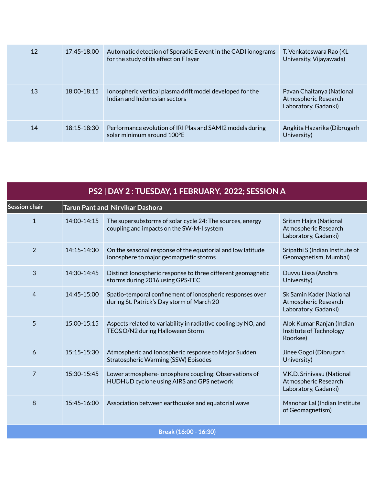| 12 | 17:45-18:00     | Automatic detection of Sporadic E event in the CADI ionograms<br>for the study of its effect on F layer | T. Venkateswara Rao (KL<br>University, Vijayawada)                        |
|----|-----------------|---------------------------------------------------------------------------------------------------------|---------------------------------------------------------------------------|
| 13 | $18:00 - 18:15$ | Ionospheric vertical plasma drift model developed for the<br>Indian and Indonesian sectors              | Pavan Chaitanya (National<br>Atmospheric Research<br>Laboratory, Gadanki) |
| 14 | 18:15-18:30     | Performance evolution of IRI Plas and SAMI2 models during<br>solar minimum around 100°E                 | Angkita Hazarika (Dibrugarh<br>University)                                |

| PS2   DAY 2 : TUESDAY, 1 FEBRUARY, 2022; SESSION A |                                        |                                                                                                         |                                                                            |  |
|----------------------------------------------------|----------------------------------------|---------------------------------------------------------------------------------------------------------|----------------------------------------------------------------------------|--|
| Session chair                                      | <b>Tarun Pant and Nirvikar Dashora</b> |                                                                                                         |                                                                            |  |
| $\mathbf{1}$                                       | 14:00-14:15                            | The supersubstorms of solar cycle 24: The sources, energy<br>coupling and impacts on the SW-M-I system  | Sritam Hajra (National<br>Atmospheric Research<br>Laboratory, Gadanki)     |  |
| 2                                                  | 14:15-14:30                            | On the seasonal response of the equatorial and low latitude<br>ionosphere to major geomagnetic storms   | Sripathi S (Indian Institute of<br>Geomagnetism, Mumbai)                   |  |
| 3                                                  | 14:30-14:45                            | Distinct lonospheric response to three different geomagnetic<br>storms during 2016 using GPS-TEC        | Duvvu Lissa (Andhra<br>University)                                         |  |
| $\overline{4}$                                     | 14:45-15:00                            | Spatio-temporal confinement of ionospheric responses over<br>during St. Patrick's Day storm of March 20 | Sk Samin Kader (National<br>Atmospheric Research<br>Laboratory, Gadanki)   |  |
| 5                                                  | 15:00-15:15                            | Aspects related to variability in radiative cooling by NO, and<br>TEC&O/N2 during Halloween Storm       | Alok Kumar Ranjan (Indian<br>Institute of Technology<br>Roorkee)           |  |
| 6                                                  | 15:15-15:30                            | Atmospheric and lonospheric response to Major Sudden<br>Stratospheric Warming (SSW) Episodes            | Jinee Gogoi (Dibrugarh<br>University)                                      |  |
| $\overline{7}$                                     | 15:30-15:45                            | Lower atmosphere-ionosphere coupling: Observations of<br>HUDHUD cyclone using AIRS and GPS network      | V.K.D. Srinivasu (National<br>Atmospheric Research<br>Laboratory, Gadanki) |  |
| 8                                                  | 15:45-16:00                            | Association between earthquake and equatorial wave                                                      | Manohar Lal (Indian Institute<br>of Geomagnetism)                          |  |
|                                                    |                                        | Break (16:00 - 16:30)                                                                                   |                                                                            |  |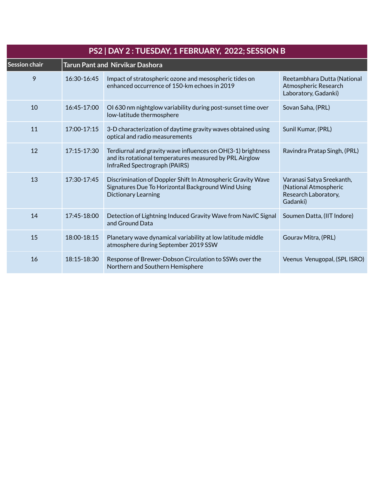| PS2   DAY 2 : TUESDAY, 1 FEBRUARY, 2022; SESSION B |                 |                                                                                                                                                          |                                                                                        |
|----------------------------------------------------|-----------------|----------------------------------------------------------------------------------------------------------------------------------------------------------|----------------------------------------------------------------------------------------|
| Session chair                                      |                 | <b>Tarun Pant and Nirvikar Dashora</b>                                                                                                                   |                                                                                        |
| 9                                                  | 16:30-16:45     | Impact of stratospheric ozone and mesospheric tides on<br>enhanced occurrence of 150-km echoes in 2019                                                   | Reetambhara Dutta (National<br>Atmospheric Research<br>Laboratory, Gadanki)            |
| 10                                                 | 16:45-17:00     | OI 630 nm nightglow variability during post-sunset time over<br>low-latitude thermosphere                                                                | Sovan Saha, (PRL)                                                                      |
| 11                                                 | $17:00 - 17:15$ | 3-D characterization of daytime gravity waves obtained using<br>optical and radio measurements                                                           | Sunil Kumar, (PRL)                                                                     |
| 12                                                 | $17:15 - 17:30$ | Terdiurnal and gravity wave influences on OH(3-1) brightness<br>and its rotational temperatures measured by PRL Airglow<br>InfraRed Spectrograph (PAIRS) | Ravindra Pratap Singh, (PRL)                                                           |
| 13                                                 | $17:30 - 17:45$ | Discrimination of Doppler Shift In Atmospheric Gravity Wave<br>Signatures Due To Horizontal Background Wind Using<br><b>Dictionary Learning</b>          | Varanasi Satya Sreekanth,<br>(National Atmospheric<br>Research Laboratory,<br>Gadanki) |
| 14                                                 | $17:45 - 18:00$ | Detection of Lightning Induced Gravity Wave from NavIC Signal<br>and Ground Data                                                                         | Soumen Datta, (IIT Indore)                                                             |
| 15                                                 | 18:00-18:15     | Planetary wave dynamical variability at low latitude middle<br>atmosphere during September 2019 SSW                                                      | Gourav Mitra, (PRL)                                                                    |
| 16                                                 | 18:15-18:30     | Response of Brewer-Dobson Circulation to SSWs over the<br>Northern and Southern Hemisphere                                                               | Veenus Venugopal, (SPL ISRO)                                                           |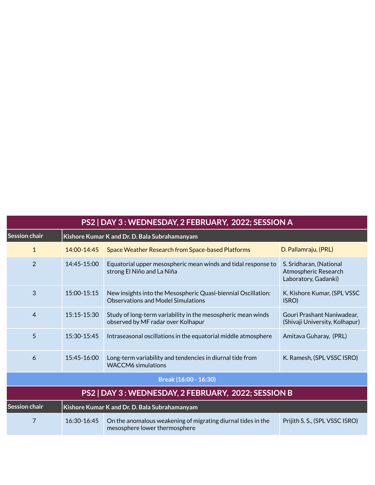| PS2   DAY 3 : WEDNESDAY, 2 FEBRUARY, 2022; SESSION A |                                               |                                                                                                            |                                                                         |  |
|------------------------------------------------------|-----------------------------------------------|------------------------------------------------------------------------------------------------------------|-------------------------------------------------------------------------|--|
| Session chair                                        | Kishore Kumar K and Dr. D. Bala Subrahamanyam |                                                                                                            |                                                                         |  |
| $\mathbf{1}$                                         | 14:00-14:45                                   | Space Weather Research from Space-based Platforms                                                          | D. Pallamraju, (PRL)                                                    |  |
| 2                                                    | 14:45-15:00                                   | Equatorial upper mesospheric mean winds and tidal response to<br>strong El Niño and La Niña                | S. Sridharan, (National<br>Atmospheric Research<br>Laboratory, Gadanki) |  |
| 3                                                    | $15:00 - 15:15$                               | New insights into the Mesospheric Quasi-biennial Oscillation:<br><b>Observations and Model Simulations</b> | K. Kishore Kumar, (SPL VSSC<br>ISRO)                                    |  |
| $\overline{4}$                                       | 15:15-15:30                                   | Study of long-term variability in the mesospheric mean winds<br>observed by MF radar over Kolhapur         | Gouri Prashant Naniwadear,<br>(Shivaji University, Kolhapur)            |  |
| 5                                                    | 15:30-15:45                                   | Intraseasonal oscillations in the equatorial middle atmosphere                                             | Amitava Guharay, (PRL)                                                  |  |
| 6                                                    | $15:45 - 16:00$                               | Long-term variability and tendencies in diurnal tide from<br><b>WACCM6</b> simulations                     | K. Ramesh, (SPL VSSC ISRO)                                              |  |
|                                                      |                                               | Break (16:00 - 16:30)                                                                                      |                                                                         |  |
|                                                      |                                               | PS2   DAY 3 : WEDNESDAY, 2 FEBRUARY, 2022; SESSION B                                                       |                                                                         |  |
| Session chair                                        |                                               | Kishore Kumar K and Dr. D. Bala Subrahamanyam                                                              |                                                                         |  |
| 7                                                    | 16:30-16:45                                   | On the anomalous weakening of migrating diurnal tides in the<br>mesosphere lower thermosphere              | Prijith S. S., (SPL VSSC ISRO)                                          |  |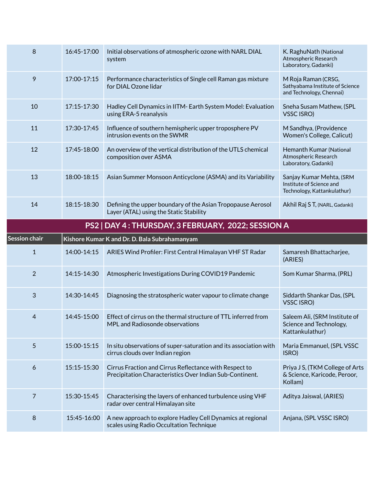| 8                    | 16:45-17:00 | Initial observations of atmospheric ozone with NARL DIAL<br>system                                                 | K. RaghuNath (National<br>Atmospheric Research<br>Laboratory, Gadanki)              |
|----------------------|-------------|--------------------------------------------------------------------------------------------------------------------|-------------------------------------------------------------------------------------|
| 9                    | 17:00-17:15 | Performance characteristics of Single cell Raman gas mixture<br>for DIAL Ozone lidar                               | M Roja Raman (CRSG,<br>Sathyabama Institute of Science<br>and Technology, Chennai)  |
| 10                   | 17:15-17:30 | Hadley Cell Dynamics in IITM- Earth System Model: Evaluation<br>using ERA-5 reanalysis                             | Sneha Susam Mathew, (SPL<br>VSSC ISRO)                                              |
| 11                   | 17:30-17:45 | Influence of southern hemispheric upper troposphere PV<br>intrusion events on the SWMR                             | M Sandhya, (Providence<br>Women's College, Calicut)                                 |
| 12                   | 17:45-18:00 | An overview of the vertical distribution of the UTLS chemical<br>composition over ASMA                             | Hemanth Kumar (National<br>Atmospheric Research<br>Laboratory, Gadanki)             |
| 13                   | 18:00-18:15 | Asian Summer Monsoon Anticyclone (ASMA) and its Variability                                                        | Sanjay Kumar Mehta, (SRM<br>Institute of Science and<br>Technology, Kattankulathur) |
| 14                   | 18:15-18:30 | Defining the upper boundary of the Asian Tropopause Aerosol<br>Layer (ATAL) using the Static Stability             | Akhil Raj S T, (NARL, Gadanki)                                                      |
|                      |             | PS2   DAY 4 : THURSDAY, 3 FEBRUARY, 2022; SESSION A                                                                |                                                                                     |
|                      |             |                                                                                                                    |                                                                                     |
| <b>Session chair</b> |             | Kishore Kumar K and Dr. D. Bala Subrahamanyam                                                                      |                                                                                     |
| $\mathbf{1}$         | 14:00-14:15 | ARIES Wind Profiler: First Central Himalayan VHF ST Radar                                                          | Samaresh Bhattacharjee,<br>(ARIES)                                                  |
| $\overline{2}$       | 14:15-14:30 | Atmospheric Investigations During COVID19 Pandemic                                                                 | Som Kumar Sharma, (PRL)                                                             |
| 3                    | 14:30-14:45 | Diagnosing the stratospheric water vapour to climate change                                                        | Siddarth Shankar Das, (SPL<br><b>VSSC ISRO)</b>                                     |
| 4                    | 14:45-15:00 | Effect of cirrus on the thermal structure of TTL inferred from<br>MPL and Radiosonde observations                  | Saleem Ali, (SRM Institute of<br>Science and Technology,<br>Kattankulathur)         |
| 5                    | 15:00-15:15 | In situ observations of super-saturation and its association with<br>cirrus clouds over Indian region              | Maria Emmanuel, (SPL VSSC<br>ISRO)                                                  |
| 6                    | 15:15-15:30 | Cirrus Fraction and Cirrus Reflectance with Respect to<br>Precipitation Characteristics Over Indian Sub-Continent. | Priya J S, (TKM College of Arts<br>& Science, Karicode, Peroor,<br>Kollam)          |
| $\overline{7}$       | 15:30-15:45 | Characterising the layers of enhanced turbulence using VHF<br>radar over central Himalayan site                    | Aditya Jaiswal, (ARIES)                                                             |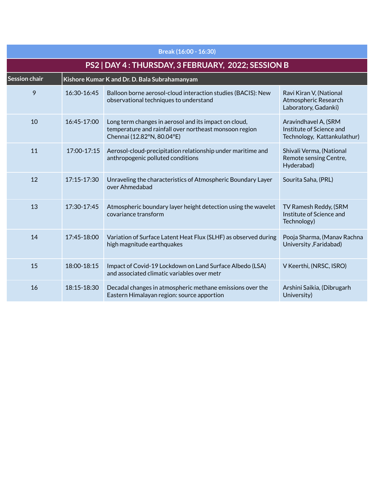| Break (16:00 - 16:30)                               |                                               |                                                                                                                                               |                                                                                 |  |
|-----------------------------------------------------|-----------------------------------------------|-----------------------------------------------------------------------------------------------------------------------------------------------|---------------------------------------------------------------------------------|--|
| PS2   DAY 4 : THURSDAY, 3 FEBRUARY, 2022; SESSION B |                                               |                                                                                                                                               |                                                                                 |  |
| <b>Session chair</b>                                | Kishore Kumar K and Dr. D. Bala Subrahamanyam |                                                                                                                                               |                                                                                 |  |
| 9                                                   | 16:30-16:45                                   | Balloon borne aerosol-cloud interaction studies (BACIS): New<br>observational techniques to understand                                        | Ravi Kiran V, (National<br>Atmospheric Research<br>Laboratory, Gadanki)         |  |
| 10                                                  | 16:45-17:00                                   | Long term changes in aerosol and its impact on cloud,<br>temperature and rainfall over northeast monsoon region<br>Chennai (12.82°N, 80.04°E) | Aravindhavel A, (SRM<br>Institute of Science and<br>Technology, Kattankulathur) |  |
| 11                                                  | 17:00-17:15                                   | Aerosol-cloud-precipitation relationship under maritime and<br>anthropogenic polluted conditions                                              | Shivali Verma, (National<br>Remote sensing Centre,<br>Hyderabad)                |  |
| 12                                                  | 17:15-17:30                                   | Unraveling the characteristics of Atmospheric Boundary Layer<br>over Ahmedabad                                                                | Sourita Saha, (PRL)                                                             |  |
| 13                                                  | 17:30-17:45                                   | Atmospheric boundary layer height detection using the wavelet<br>covariance transform                                                         | TV Ramesh Reddy, (SRM<br>Institute of Science and<br>Technology)                |  |
| 14                                                  | 17:45-18:00                                   | Variation of Surface Latent Heat Flux (SLHF) as observed during<br>high magnitude earthquakes                                                 | Pooja Sharma, (Manav Rachna<br>University, Faridabad)                           |  |
| 15                                                  | 18:00-18:15                                   | Impact of Covid-19 Lockdown on Land Surface Albedo (LSA)<br>and associated climatic variables over metr                                       | V Keerthi, (NRSC, ISRO)                                                         |  |
| 16                                                  | 18:15-18:30                                   | Decadal changes in atmospheric methane emissions over the<br>Eastern Himalayan region: source apportion                                       | Arshini Saikia, (Dibrugarh<br>University)                                       |  |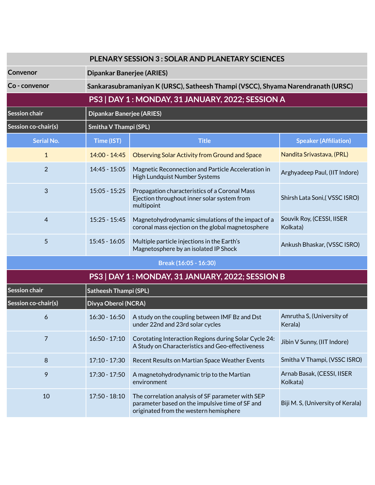| <b>PLENARY SESSION 3: SOLAR AND PLANETARY SCIENCES</b> |                                  |                                                                                                            |                                       |  |
|--------------------------------------------------------|----------------------------------|------------------------------------------------------------------------------------------------------------|---------------------------------------|--|
| Convenor                                               |                                  | <b>Dipankar Banerjee (ARIES)</b>                                                                           |                                       |  |
| Co - convenor                                          |                                  | Sankarasubramaniyan K (URSC), Satheesh Thampi (VSCC), Shyama Narendranath (URSC)                           |                                       |  |
|                                                        |                                  | PS3   DAY 1 : MONDAY, 31 JANUARY, 2022; SESSION A                                                          |                                       |  |
| <b>Session chair</b>                                   | <b>Dipankar Banerjee (ARIES)</b> |                                                                                                            |                                       |  |
| Session co-chair(s)                                    | <b>Smitha V Thampi (SPL)</b>     |                                                                                                            |                                       |  |
| <b>Serial No.</b>                                      | Time (IST)                       | <b>Title</b>                                                                                               | <b>Speaker (Affiliation)</b>          |  |
| $\mathbf{1}$                                           | $14:00 - 14:45$                  | <b>Observing Solar Activity from Ground and Space</b>                                                      | Nandita Srivastava, (PRL)             |  |
| $\overline{2}$                                         | $14:45 - 15:05$                  | Magnetic Reconnection and Particle Acceleration in<br>High Lundquist Number Systems                        | Arghyadeep Paul, (IIT Indore)         |  |
| 3                                                      | $15:05 - 15:25$                  | Propagation characteristics of a Coronal Mass<br>Ejection throughout inner solar system from<br>multipoint | Shirsh Lata Soni, (VSSC ISRO)         |  |
| 4                                                      | $15:25 - 15:45$                  | Magnetohydrodynamic simulations of the impact of a<br>coronal mass ejection on the global magnetosphere    | Souvik Roy, (CESSI, IISER<br>Kolkata) |  |
| 5                                                      | $15:45 - 16:05$                  | Multiple particle injections in the Earth's<br>Magnetosphere by an isolated IP Shock                       | Ankush Bhaskar, (VSSC ISRO)           |  |
| Break (16:05 - 16:30)                                  |                                  |                                                                                                            |                                       |  |
| PS3   DAY 1: MONDAY, 31 JANUARY, 2022; SESSION B       |                                  |                                                                                                            |                                       |  |
| <b>Session chair</b>                                   | <b>Satheesh Thampi (SPL)</b>     |                                                                                                            |                                       |  |

| i Session chair            | Satheesh Thampi (SPL) |                                                                                                                                                |                                        |  |
|----------------------------|-----------------------|------------------------------------------------------------------------------------------------------------------------------------------------|----------------------------------------|--|
| <b>Session co-chair(s)</b> | Divya Oberoi (NCRA)   |                                                                                                                                                |                                        |  |
| 6                          | $16:30 - 16:50$       | A study on the coupling between IMF Bz and Dst<br>under 22nd and 23rd solar cycles                                                             | Amrutha S, (University of<br>Kerala)   |  |
|                            | $16:50 - 17:10$       | Corotating Interaction Regions during Solar Cycle 24:<br>A Study on Characteristics and Geo-effectiveness                                      | Jibin V Sunny, (IIT Indore)            |  |
| 8                          | $17:10 - 17:30$       | Recent Results on Martian Space Weather Events                                                                                                 | Smitha V Thampi, (VSSC ISRO)           |  |
| 9                          | $17:30 - 17:50$       | A magnetohydrodynamic trip to the Martian<br>environment                                                                                       | Arnab Basak, (CESSI, IISER<br>Kolkata) |  |
| 10                         | $17:50 - 18:10$       | The correlation analysis of SF parameter with SEP<br>parameter based on the impulsive time of SF and<br>originated from the western hemisphere | Biji M. S, (University of Kerala)      |  |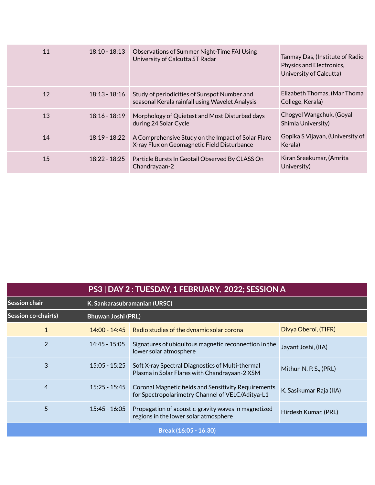| 11 | $18:10 - 18:13$ | Observations of Summer Night-Time FAI Using<br>University of Calcutta ST Radar                    | Tanmay Das, (Institute of Radio<br>Physics and Electronics,<br>University of Calcutta) |
|----|-----------------|---------------------------------------------------------------------------------------------------|----------------------------------------------------------------------------------------|
| 12 | $18:13 - 18:16$ | Study of periodicities of Sunspot Number and<br>seasonal Kerala rainfall using Wavelet Analysis   | Elizabeth Thomas, (Mar Thoma<br>College, Kerala)                                       |
| 13 | $18:16 - 18:19$ | Morphology of Quietest and Most Disturbed days<br>during 24 Solar Cycle                           | Chogyel Wangchuk, (Goyal<br>Shimla University)                                         |
| 14 | $18:19 - 18:22$ | A Comprehensive Study on the Impact of Solar Flare<br>X-ray Flux on Geomagnetic Field Disturbance | Gopika S Vijayan, (University of<br>Kerala)                                            |
| 15 | $18:22 - 18:25$ | Particle Bursts In Geotail Observed By CLASS On<br>Chandrayaan-2                                  | Kiran Sreekumar, (Amrita<br>University)                                                |

| PS3   DAY 2 : TUESDAY, 1 FEBRUARY, 2022; SESSION A |                              |                                                                                                                 |                         |
|----------------------------------------------------|------------------------------|-----------------------------------------------------------------------------------------------------------------|-------------------------|
| Session chair                                      | K. Sankarasubramanian (URSC) |                                                                                                                 |                         |
| Session co-chair(s)                                | <b>Bhuwan Joshi (PRL)</b>    |                                                                                                                 |                         |
| $\mathbf{1}$                                       | $14:00 - 14:45$              | Radio studies of the dynamic solar corona                                                                       | Divya Oberoi, (TIFR)    |
| $\overline{2}$                                     | $14:45 - 15:05$              | Signatures of ubiquitous magnetic reconnection in the<br>lower solar atmosphere                                 | Jayant Joshi, (IIA)     |
| 3                                                  | $15:05 - 15:25$              | Soft X-ray Spectral Diagnostics of Multi-thermal<br>Plasma in Solar Flares with Chandrayaan-2 XSM               | Mithun N. P. S., (PRL)  |
| 4                                                  | $15:25 - 15:45$              | <b>Coronal Magnetic fields and Sensitivity Requirements</b><br>for Spectropolarimetry Channel of VELC/Aditya-L1 | K. Sasikumar Raja (IIA) |
| 5                                                  | $15:45 - 16:05$              | Propagation of acoustic-gravity waves in magnetized<br>regions in the lower solar atmosphere                    | Hirdesh Kumar, (PRL)    |
| Break (16:05 - 16:30)                              |                              |                                                                                                                 |                         |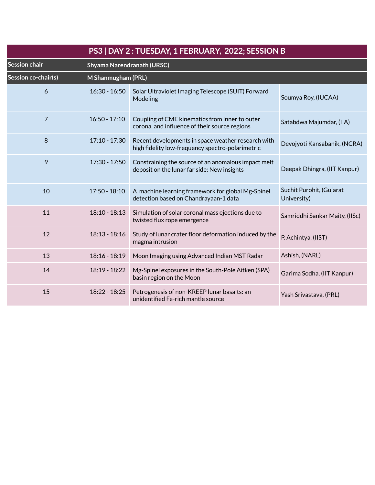| PS3   DAY 2 : TUESDAY, 1 FEBRUARY, 2022; SESSION B |                    |                                                                                                        |                                         |  |  |
|----------------------------------------------------|--------------------|--------------------------------------------------------------------------------------------------------|-----------------------------------------|--|--|
| <b>Session chair</b>                               |                    | Shyama Narendranath (URSC)                                                                             |                                         |  |  |
| Session co-chair(s)                                | M Shanmugham (PRL) |                                                                                                        |                                         |  |  |
| 6                                                  | $16:30 - 16:50$    | Solar Ultraviolet Imaging Telescope (SUIT) Forward<br>Modeling                                         | Soumya Roy, (IUCAA)                     |  |  |
| 7                                                  | $16:50 - 17:10$    | Coupling of CME kinematics from inner to outer<br>corona, and influence of their source regions        | Satabdwa Majumdar, (IIA)                |  |  |
| 8                                                  | $17:10 - 17:30$    | Recent developments in space weather research with<br>high fidelity low-frequency spectro-polarimetric | Devojyoti Kansabanik, (NCRA)            |  |  |
| 9                                                  | 17:30 - 17:50      | Constraining the source of an anomalous impact melt<br>deposit on the lunar far side: New insights     | Deepak Dhingra, (IIT Kanpur)            |  |  |
| 10                                                 | $17:50 - 18:10$    | A machine learning framework for global Mg-Spinel<br>detection based on Chandrayaan-1 data             | Suchit Purohit, (Gujarat<br>University) |  |  |
| 11                                                 | $18:10 - 18:13$    | Simulation of solar coronal mass ejections due to<br>twisted flux rope emergence                       | Samriddhi Sankar Maity, (IISc)          |  |  |
| 12                                                 | $18:13 - 18:16$    | Study of lunar crater floor deformation induced by the<br>magma intrusion                              | P. Achintya, (IIST)                     |  |  |
| 13                                                 | $18:16 - 18:19$    | Moon Imaging using Advanced Indian MST Radar                                                           | Ashish, (NARL)                          |  |  |
| 14                                                 | 18:19 - 18:22      | Mg-Spinel exposures in the South-Pole Aitken (SPA)<br>basin region on the Moon                         | Garima Sodha, (IIT Kanpur)              |  |  |
| 15                                                 | 18:22 - 18:25      | Petrogenesis of non-KREEP lunar basalts: an<br>unidentified Fe-rich mantle source                      | Yash Srivastava, (PRL)                  |  |  |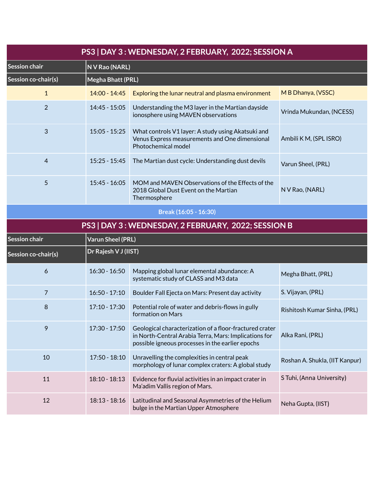| PS3   DAY 3 : WEDNESDAY, 2 FEBRUARY, 2022; SESSION A |                          |                                                                                                                                                                      |                                |
|------------------------------------------------------|--------------------------|----------------------------------------------------------------------------------------------------------------------------------------------------------------------|--------------------------------|
| Session chair                                        | N V Rao (NARL)           |                                                                                                                                                                      |                                |
| Session co-chair(s)                                  | Megha Bhatt (PRL)        |                                                                                                                                                                      |                                |
| $\mathbf{1}$                                         | $14:00 - 14:45$          | Exploring the lunar neutral and plasma environment                                                                                                                   | M B Dhanya, (VSSC)             |
| $\overline{2}$                                       | 14:45 - 15:05            | Understanding the M3 layer in the Martian dayside<br>ionosphere using MAVEN observations                                                                             | Vrinda Mukundan, (NCESS)       |
| 3                                                    | $15:05 - 15:25$          | What controls V1 layer: A study using Akatsuki and<br>Venus Express measurements and One dimensional<br>Photochemical model                                          | Ambili K M, (SPL ISRO)         |
| 4                                                    | $15:25 - 15:45$          | The Martian dust cycle: Understanding dust devils                                                                                                                    | Varun Sheel, (PRL)             |
| 5                                                    | $15:45 - 16:05$          | MOM and MAVEN Observations of the Effects of the<br>2018 Global Dust Event on the Martian<br>Thermosphere                                                            | N V Rao, (NARL)                |
|                                                      |                          | Break (16:05 - 16:30)                                                                                                                                                |                                |
|                                                      |                          | PS3   DAY 3 : WEDNESDAY, 2 FEBRUARY, 2022; SESSION B                                                                                                                 |                                |
| Session chair                                        | <b>Varun Sheel (PRL)</b> |                                                                                                                                                                      |                                |
| Session co-chair(s)                                  | Dr Rajesh V J (IIST)     |                                                                                                                                                                      |                                |
| 6                                                    | $16:30 - 16:50$          | Mapping global lunar elemental abundance: A<br>systematic study of CLASS and M3 data                                                                                 | Megha Bhatt, (PRL)             |
| $\overline{7}$                                       | $16:50 - 17:10$          | Boulder Fall Ejecta on Mars: Present day activity                                                                                                                    | S. Vijayan, (PRL)              |
| 8                                                    | $17:10 - 17:30$          | Potential role of water and debris-flows in gully<br>formation on Mars                                                                                               | Rishitosh Kumar Sinha, (PRL)   |
| 9                                                    | 17:30 - 17:50            | Geological characterization of a floor-fractured crater<br>in North-Central Arabia Terra, Mars: Implications for<br>possible igneous processes in the earlier epochs | Alka Rani, (PRL)               |
| 10                                                   | $17:50 - 18:10$          | Unravelling the complexities in central peak<br>morphology of lunar complex craters: A global study                                                                  | Roshan A. Shukla, (IIT Kanpur) |
| 11                                                   | $18:10 - 18:13$          | Evidence for fluvial activities in an impact crater in<br>Ma'adim Vallis region of Mars.                                                                             | S Tuhi, (Anna University)      |
| 12                                                   | $18:13 - 18:16$          | Latitudinal and Seasonal Asymmetries of the Helium<br>bulge in the Martian Upper Atmosphere                                                                          | Neha Gupta, (IIST)             |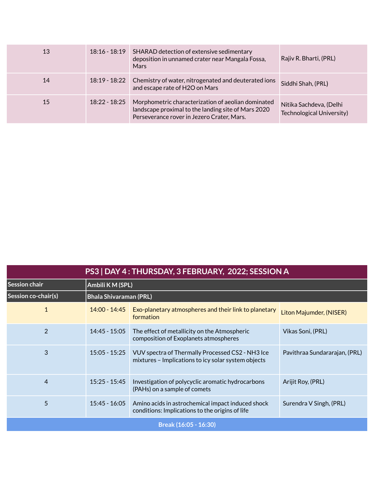| 13 | $18:16 - 18:19$ | SHARAD detection of extensive sedimentary<br>deposition in unnamed crater near Mangala Fossa,<br><b>Mars</b>                                            | Rajiv R. Bharti, (PRL)                               |
|----|-----------------|---------------------------------------------------------------------------------------------------------------------------------------------------------|------------------------------------------------------|
| 14 | 18:19 - 18:22   | Chemistry of water, nitrogenated and deuterated ions<br>and escape rate of H2O on Mars                                                                  | Siddhi Shah, (PRL)                                   |
| 15 | 18:22 - 18:25   | Morphometric characterization of aeolian dominated<br>landscape proximal to the landing site of Mars 2020<br>Perseverance rover in Jezero Crater, Mars. | Nitika Sachdeva, (Delhi<br>Technological University) |

| PS3   DAY 4 : THURSDAY, 3 FEBRUARY, 2022; SESSION A |                               |                                                                                                         |                               |  |
|-----------------------------------------------------|-------------------------------|---------------------------------------------------------------------------------------------------------|-------------------------------|--|
| Session chair                                       | Ambili K M (SPL)              |                                                                                                         |                               |  |
| Session co-chair(s)                                 | <b>Bhala Shivaraman (PRL)</b> |                                                                                                         |                               |  |
| $\mathbf{1}$                                        | $14:00 - 14:45$               | Exo-planetary atmospheres and their link to planetary<br>formation                                      | Liton Majumder, (NISER)       |  |
| $\overline{2}$                                      | $14:45 - 15:05$               | The effect of metallicity on the Atmospheric<br>composition of Exoplanets atmospheres                   | Vikas Soni, (PRL)             |  |
| 3                                                   | $15:05 - 15:25$               | VUV spectra of Thermally Processed CS2 - NH3 Ice<br>mixtures - Implications to icy solar system objects | Pavithraa Sundararajan, (PRL) |  |
| 4                                                   | $15:25 - 15:45$               | Investigation of polycyclic aromatic hydrocarbons<br>(PAHs) on a sample of comets                       | Arijit Roy, (PRL)             |  |
| 5                                                   | $15:45 - 16:05$               | Amino acids in astrochemical impact induced shock<br>conditions: Implications to the origins of life    | Surendra V Singh, (PRL)       |  |
| Break (16:05 - 16:30)                               |                               |                                                                                                         |                               |  |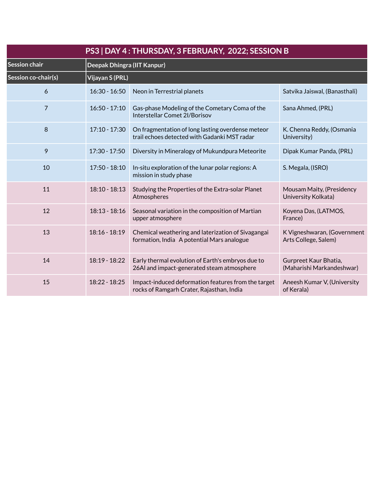| PS3   DAY 4 : THURSDAY, 3 FEBRUARY, 2022; SESSION B |                 |                                                                                                   |                                                     |  |  |
|-----------------------------------------------------|-----------------|---------------------------------------------------------------------------------------------------|-----------------------------------------------------|--|--|
| <b>Session chair</b>                                |                 | Deepak Dhingra (IIT Kanpur)                                                                       |                                                     |  |  |
| Session co-chair(s)                                 | Vijayan S (PRL) |                                                                                                   |                                                     |  |  |
| 6                                                   | $16:30 - 16:50$ | Neon in Terrestrial planets                                                                       | Satvika Jaiswal, (Banasthali)                       |  |  |
| $\overline{7}$                                      | $16:50 - 17:10$ | Gas-phase Modeling of the Cometary Coma of the<br>Interstellar Comet 2I/Borisov                   | Sana Ahmed, (PRL)                                   |  |  |
| 8                                                   | 17:10 - 17:30   | On fragmentation of long lasting overdense meteor<br>trail echoes detected with Gadanki MST radar | K. Chenna Reddy, (Osmania<br>University)            |  |  |
| 9                                                   | $17:30 - 17:50$ | Diversity in Mineralogy of Mukundpura Meteorite                                                   | Dipak Kumar Panda, (PRL)                            |  |  |
| 10                                                  | 17:50 - 18:10   | In-situ exploration of the lunar polar regions: A<br>mission in study phase                       | S. Megala, (ISRO)                                   |  |  |
| 11                                                  | 18:10 - 18:13   | Studying the Properties of the Extra-solar Planet<br>Atmospheres                                  | Mousam Maity, (Presidency<br>University Kolkata)    |  |  |
| 12                                                  | $18:13 - 18:16$ | Seasonal variation in the composition of Martian<br>upper atmosphere                              | Koyena Das, (LATMOS,<br>France)                     |  |  |
| 13                                                  | $18:16 - 18:19$ | Chemical weathering and laterization of Sivagangai<br>formation, India A potential Mars analogue  | K Vigneshwaran, (Government<br>Arts College, Salem) |  |  |
| 14                                                  | 18:19 - 18:22   | Early thermal evolution of Earth's embryos due to<br>26AI and impact-generated steam atmosphere   | Gurpreet Kaur Bhatia,<br>(Maharishi Markandeshwar)  |  |  |
| 15                                                  | 18:22 - 18:25   | Impact-induced deformation features from the target<br>rocks of Ramgarh Crater, Rajasthan, India  | Aneesh Kumar V, (University<br>of Kerala)           |  |  |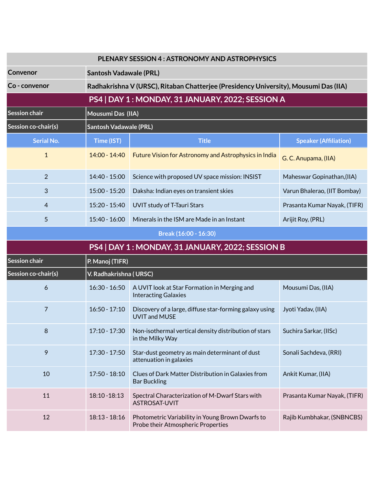|                      | <b>PLENARY SESSION 4: ASTRONOMY AND ASTROPHYSICS</b>                                 |                                                                                 |                                                   |  |  |  |  |
|----------------------|--------------------------------------------------------------------------------------|---------------------------------------------------------------------------------|---------------------------------------------------|--|--|--|--|
| Convenor             | <b>Santosh Vadawale (PRL)</b>                                                        |                                                                                 |                                                   |  |  |  |  |
| Co - convenor        | Radhakrishna V (URSC), Ritaban Chatterjee (Presidency University), Mousumi Das (IIA) |                                                                                 |                                                   |  |  |  |  |
|                      |                                                                                      | PS4   DAY 1 : MONDAY, 31 JANUARY, 2022; SESSION A                               |                                                   |  |  |  |  |
| <b>Session chair</b> |                                                                                      | Mousumi Das (IIA)                                                               |                                                   |  |  |  |  |
| Session co-chair(s)  | <b>Santosh Vadawale (PRL)</b>                                                        |                                                                                 |                                                   |  |  |  |  |
| <b>Serial No.</b>    | Time (IST)                                                                           | <b>Title</b>                                                                    | <b>Speaker (Affiliation)</b>                      |  |  |  |  |
| $\mathbf{1}$         | 14:00 - 14:40                                                                        | Future Vision for Astronomy and Astrophysics in India                           | G. C. Anupama, (IIA)                              |  |  |  |  |
| $\overline{2}$       | 14:40 - 15:00                                                                        | Science with proposed UV space mission: INSIST                                  | Maheswar Gopinathan, (IIA)                        |  |  |  |  |
| $\mathbf{3}$         | $15:00 - 15:20$                                                                      | Daksha: Indian eyes on transient skies                                          | Varun Bhalerao, (IIT Bombay)                      |  |  |  |  |
| 4                    | 15:20 - 15:40                                                                        | UVIT study of T-Tauri Stars                                                     | Prasanta Kumar Nayak, (TIFR)                      |  |  |  |  |
| 5                    | $15:40 - 16:00$                                                                      | Minerals in the ISM are Made in an Instant                                      | Arijit Roy, (PRL)                                 |  |  |  |  |
|                      |                                                                                      | Break (16:00 - 16:30)                                                           |                                                   |  |  |  |  |
|                      |                                                                                      |                                                                                 | PS4   DAY 1 : MONDAY, 31 JANUARY, 2022; SESSION B |  |  |  |  |
|                      |                                                                                      |                                                                                 |                                                   |  |  |  |  |
| Session chair        | P. Manoj (TIFR)                                                                      |                                                                                 |                                                   |  |  |  |  |
| Session co-chair(s)  | V. Radhakrishna (URSC)                                                               |                                                                                 |                                                   |  |  |  |  |
| 6                    | $16:30 - 16:50$                                                                      | A UVIT look at Star Formation in Merging and<br><b>Interacting Galaxies</b>     | Mousumi Das, (IIA)                                |  |  |  |  |
| $\overline{7}$       | $16:50 - 17:10$                                                                      | Discovery of a large, diffuse star-forming galaxy using<br><b>UVIT and MUSE</b> | Jyoti Yadav, (IIA)                                |  |  |  |  |
| 8                    | 17:10 - 17:30                                                                        | Non-isothermal vertical density distribution of stars<br>in the Milky Way       | Suchira Sarkar, (IISc)                            |  |  |  |  |
| $\mathbf{9}$         | 17:30 - 17:50                                                                        | Star-dust geometry as main determinant of dust<br>attenuation in galaxies       | Sonali Sachdeva, (RRI)                            |  |  |  |  |
| 10                   | 17:50 - 18:10                                                                        | Clues of Dark Matter Distribution in Galaxies from<br><b>Bar Buckling</b>       | Ankit Kumar, (IIA)                                |  |  |  |  |
| 11                   | 18:10 - 18:13                                                                        | Spectral Characterization of M-Dwarf Stars with<br><b>ASTROSAT-UVIT</b>         | Prasanta Kumar Nayak, (TIFR)                      |  |  |  |  |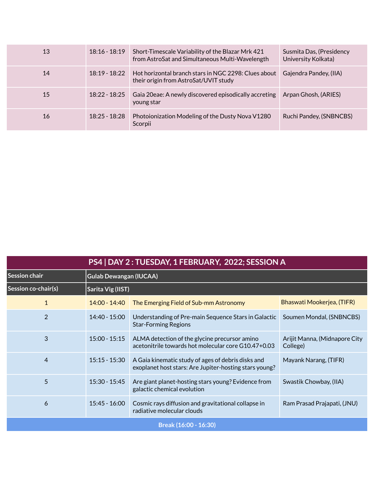| 13 | $18:16 - 18:19$ | Short-Timescale Variability of the Blazar Mrk 421<br>from AstroSat and Simultaneous Multi-Wavelength | Susmita Das, (Presidency<br>University Kolkata) |
|----|-----------------|------------------------------------------------------------------------------------------------------|-------------------------------------------------|
| 14 | $18:19 - 18:22$ | Hot horizontal branch stars in NGC 2298: Clues about<br>their origin from AstroSat/UVIT study        | Gajendra Pandey, (IIA)                          |
| 15 | $18:22 - 18:25$ | Gaia 20eae: A newly discovered episodically accreting<br>young star                                  | Arpan Ghosh, (ARIES)                            |
| 16 | $18:25 - 18:28$ | Photoionization Modeling of the Dusty Nova V1280<br>Scorpii                                          | Ruchi Pandey, (SNBNCBS)                         |

| PS4   DAY 2 : TUESDAY, 1 FEBRUARY, 2022; SESSION A |                   |                                                                                                              |                                           |  |
|----------------------------------------------------|-------------------|--------------------------------------------------------------------------------------------------------------|-------------------------------------------|--|
| <b>Session chair</b>                               |                   | <b>Gulab Dewangan (IUCAA)</b>                                                                                |                                           |  |
| Session co-chair(s)                                | Sarita Vig (IIST) |                                                                                                              |                                           |  |
| 1                                                  | $14:00 - 14:40$   | The Emerging Field of Sub-mm Astronomy                                                                       | Bhaswati Mookerjea, (TIFR)                |  |
| $\overline{2}$                                     | 14:40 - 15:00     | Understanding of Pre-main Sequence Stars in Galactic<br><b>Star-Forming Regions</b>                          | Soumen Mondal, (SNBNCBS)                  |  |
| 3                                                  | $15:00 - 15:15$   | ALMA detection of the glycine precursor amino<br>acetonitrile towards hot molecular core G10.47+0.03         | Arijit Manna, (Midnapore City<br>College) |  |
| 4                                                  | $15:15 - 15:30$   | A Gaia kinematic study of ages of debris disks and<br>exoplanet host stars: Are Jupiter-hosting stars young? | Mayank Narang, (TIFR)                     |  |
| 5                                                  | $15:30 - 15:45$   | Are giant planet-hosting stars young? Evidence from<br>galactic chemical evolution                           | Swastik Chowbay, (IIA)                    |  |
| 6                                                  | $15:45 - 16:00$   | Cosmic rays diffusion and gravitational collapse in<br>radiative molecular clouds                            | Ram Prasad Prajapati, (JNU)               |  |
| Break (16:00 - 16:30)                              |                   |                                                                                                              |                                           |  |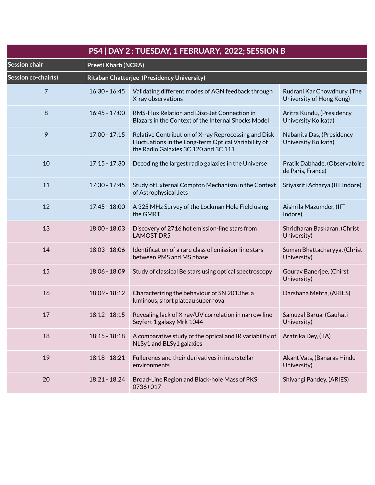| PS4   DAY 2 : TUESDAY, 1 FEBRUARY, 2022; SESSION B |                            |                                                                                                                                                      |                                                         |
|----------------------------------------------------|----------------------------|------------------------------------------------------------------------------------------------------------------------------------------------------|---------------------------------------------------------|
| <b>Session chair</b>                               | <b>Preeti Kharb (NCRA)</b> |                                                                                                                                                      |                                                         |
| Session co-chair(s)                                |                            | Ritaban Chatterjee (Presidency University)                                                                                                           |                                                         |
| $\overline{7}$                                     | $16:30 - 16:45$            | Validating different modes of AGN feedback through<br>X-ray observations                                                                             | Rudrani Kar Chowdhury, (The<br>University of Hong Kong) |
| 8                                                  | $16:45 - 17:00$            | RMS-Flux Relation and Disc-Jet Connection in<br>Blazars in the Context of the Internal Shocks Model                                                  | Aritra Kundu, (Presidency<br>University Kolkata)        |
| 9                                                  | $17:00 - 17:15$            | Relative Contribution of X-ray Reprocessing and Disk<br>Fluctuations in the Long-term Optical Variability of<br>the Radio Galaxies 3C 120 and 3C 111 | Nabanita Das, (Presidency<br>University Kolkata)        |
| 10                                                 | $17:15 - 17:30$            | Decoding the largest radio galaxies in the Universe                                                                                                  | Pratik Dabhade, (Observatoire<br>de Paris, France)      |
| 11                                                 | 17:30 - 17:45              | Study of External Compton Mechanism in the Context<br>of Astrophysical Jets                                                                          | Sriyasriti Acharya, (IIT Indore)                        |
| 12                                                 | 17:45 - 18:00              | A 325 MHz Survey of the Lockman Hole Field using<br>the GMRT                                                                                         | Aishrila Mazumder, (IIT<br>Indore)                      |
| 13                                                 | 18:00 - 18:03              | Discovery of 2716 hot emission-line stars from<br><b>LAMOST DR5</b>                                                                                  | Shridharan Baskaran, (Christ<br>University)             |
| 14                                                 | 18:03 - 18:06              | Identification of a rare class of emission-line stars<br>between PMS and MS phase                                                                    | Suman Bhattacharyya, (Christ<br>University)             |
| 15                                                 | 18:06 - 18:09              | Study of classical Be stars using optical spectroscopy                                                                                               | Gourav Banerjee, (Chirst<br>University)                 |
| 16                                                 | 18:09 - 18:12              | Characterizing the behaviour of SN 2013he: a<br>luminous, short plateau supernova                                                                    | Darshana Mehta, (ARIES)                                 |
| 17                                                 | $18:12 - 18:15$            | Revealing lack of X-ray/UV correlation in narrow line<br>Seyfert 1 galaxy Mrk 1044                                                                   | Samuzal Barua, (Gauhati<br>University)                  |
| 18                                                 | $18:15 - 18:18$            | A comparative study of the optical and IR variability of<br>NLSy1 and BLSy1 galaxies                                                                 | Aratrika Dey, (IIA)                                     |
| 19                                                 | $18:18 - 18:21$            | Fullerenes and their derivatives in interstellar<br>environments                                                                                     | Akant Vats, (Banaras Hindu<br>University)               |
| 20                                                 | 18:21 - 18:24              | Broad-Line Region and Black-hole Mass of PKS<br>0736+017                                                                                             | Shivangi Pandey, (ARIES)                                |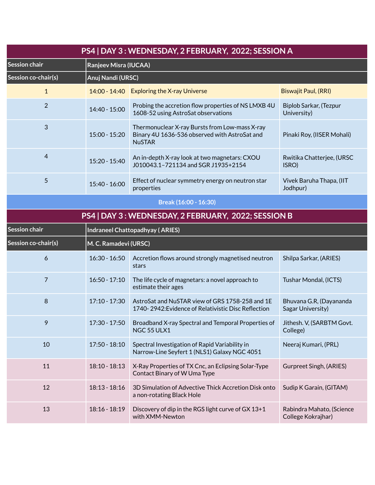| PS4   DAY 3 : WEDNESDAY, 2 FEBRUARY, 2022; SESSION A |                       |                                                                                                                  |                                                 |  |  |
|------------------------------------------------------|-----------------------|------------------------------------------------------------------------------------------------------------------|-------------------------------------------------|--|--|
| <b>Session chair</b>                                 |                       | <b>Ranjeev Misra (IUCAA)</b>                                                                                     |                                                 |  |  |
| Session co-chair(s)                                  |                       | Anuj Nandi (URSC)                                                                                                |                                                 |  |  |
| $\mathbf{1}$                                         |                       | 14:00 - 14:40 Exploring the X-ray Universe                                                                       | Biswajit Paul, (RRI)                            |  |  |
| $\overline{2}$                                       | 14:40 - 15:00         | Probing the accretion flow properties of NS LMXB 4U<br>1608-52 using AstroSat observations                       | Biplob Sarkar, (Tezpur<br>University)           |  |  |
| 3                                                    | 15:00 - 15:20         | Thermonuclear X-ray Bursts from Low-mass X-ray<br>Binary 4U 1636-536 observed with AstroSat and<br><b>NuSTAR</b> | Pinaki Roy, (IISER Mohali)                      |  |  |
| $\overline{4}$                                       | 15:20 - 15:40         | An in-depth X-ray look at two magnetars: CXOU<br>J010043.1-721134 and SGR J1935+2154                             | Rwitika Chatterjee, (URSC<br>ISRO)              |  |  |
| 5                                                    | 15:40 - 16:00         | Effect of nuclear symmetry energy on neutron star<br>properties                                                  | Vivek Baruha Thapa, (IIT<br>Jodhpur)            |  |  |
|                                                      |                       | Break (16:00 - 16:30)                                                                                            |                                                 |  |  |
|                                                      |                       | PS4   DAY 3 : WEDNESDAY, 2 FEBRUARY, 2022; SESSION B                                                             |                                                 |  |  |
| Session chair                                        |                       | <b>Indraneel Chattopadhyay (ARIES)</b>                                                                           |                                                 |  |  |
| Session co-chair(s)                                  | M. C. Ramadevi (URSC) |                                                                                                                  |                                                 |  |  |
| 6                                                    | $16:30 - 16:50$       | Accretion flows around strongly magnetised neutron<br>stars                                                      | Shilpa Sarkar, (ARIES)                          |  |  |
| 7                                                    | $16:50 - 17:10$       | The life cycle of magnetars: a novel approach to<br>estimate their ages                                          | Tushar Mondal, (ICTS)                           |  |  |
| 8                                                    | $17:10 - 17:30$       | AstroSat and NuSTAR view of GRS 1758-258 and 1E<br>1740-2942: Evidence of Relativistic Disc Reflection           | Bhuvana G.R, (Dayananda<br>Sagar University)    |  |  |
| 9                                                    | 17:30 - 17:50         | Broadband X-ray Spectral and Temporal Properties of<br>NGC 55 ULX1                                               | Jithesh. V, (SARBTM Govt.<br>College)           |  |  |
| 10                                                   | 17:50 - 18:10         | Spectral Investigation of Rapid Variability in<br>Narrow-Line Seyfert 1 (NLS1) Galaxy NGC 4051                   | Neeraj Kumari, (PRL)                            |  |  |
| 11                                                   | 18:10 - 18:13         | X-Ray Properties of TX Cnc, an Eclipsing Solar-Type<br>Contact Binary of W Uma Type                              | Gurpreet Singh, (ARIES)                         |  |  |
| 12                                                   | $18:13 - 18:16$       | 3D Simulation of Advective Thick Accretion Disk onto<br>a non-rotating Black Hole                                | Sudip K Garain, (GITAM)                         |  |  |
| 13                                                   | 18:16 - 18:19         | Discovery of dip in the RGS light curve of GX 13+1<br>with XMM-Newton                                            | Rabindra Mahato, (Science<br>College Kokrajhar) |  |  |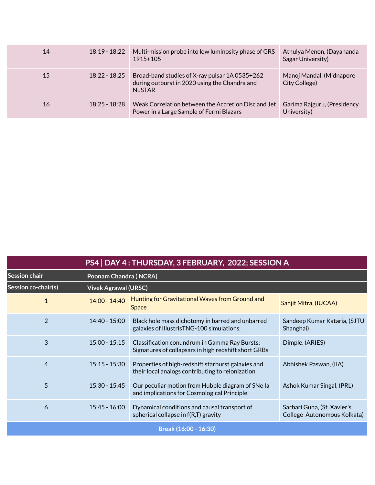| 14 | $18:19 - 18:22$ | Multi-mission probe into low luminosity phase of GRS<br>1915+105                                                 | Athulya Menon, (Dayananda<br>Sagar University) |
|----|-----------------|------------------------------------------------------------------------------------------------------------------|------------------------------------------------|
| 15 | $18:22 - 18:25$ | Broad-band studies of X-ray pulsar 1A 0535+262<br>during outburst in 2020 using the Chandra and<br><b>NuSTAR</b> | Manoj Mandal, (Midnapore<br>City College)      |
| 16 | $18:25 - 18:28$ | Weak Correlation between the Accretion Disc and Jet<br>Power in a Large Sample of Fermi Blazars                  | Garima Rajguru, (Presidency<br>University)     |

| PS4   DAY 4: THURSDAY, 3 FEBRUARY, 2022; SESSION A |                             |                                                                                                        |                                                            |
|----------------------------------------------------|-----------------------------|--------------------------------------------------------------------------------------------------------|------------------------------------------------------------|
| Session chair                                      | Poonam Chandra (NCRA)       |                                                                                                        |                                                            |
| Session co-chair(s)                                | <b>Vivek Agrawal (URSC)</b> |                                                                                                        |                                                            |
| 1                                                  | 14:00 - 14:40               | Hunting for Gravitational Waves from Ground and<br><b>Space</b>                                        | Sanjit Mitra, (IUCAA)                                      |
| $\overline{2}$                                     | 14:40 - 15:00               | Black hole mass dichotomy in barred and unbarred<br>galaxies of IllustrisTNG-100 simulations.          | Sandeep Kumar Kataria, (SJTU<br>Shanghai)                  |
| 3                                                  | $15:00 - 15:15$             | Classification conundrum in Gamma Ray Bursts:<br>Signatures of collapsars in high redshift short GRBs  | Dimple, (ARIES)                                            |
| 4                                                  | $15:15 - 15:30$             | Properties of high-redshift starburst galaxies and<br>their local analogs contributing to reionization | Abhishek Paswan, (IIA)                                     |
| 5                                                  | $15:30 - 15:45$             | Our peculiar motion from Hubble diagram of SNe Ia<br>and implications for Cosmological Principle       | Ashok Kumar Singal, (PRL)                                  |
| 6                                                  | $15:45 - 16:00$             | Dynamical conditions and causal transport of<br>spherical collapse in $f(R,T)$ gravity                 | Sarbari Guha, (St. Xavier's<br>College Autonomous Kolkata) |
| Break (16:00 - 16:30)                              |                             |                                                                                                        |                                                            |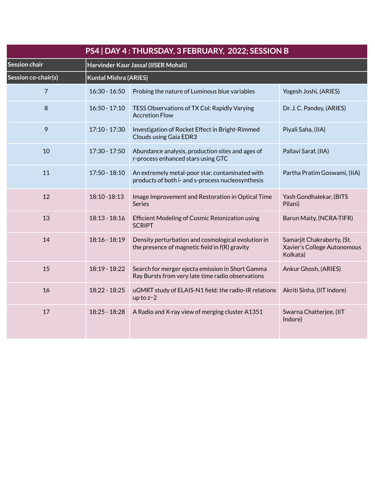| PS4   DAY 4 : THURSDAY, 3 FEBRUARY, 2022; SESSION B |                 |                                                                                                       |                                                                       |  |  |
|-----------------------------------------------------|-----------------|-------------------------------------------------------------------------------------------------------|-----------------------------------------------------------------------|--|--|
| Session chair                                       |                 | Harvinder Kaur Jassal (IISER Mohali)                                                                  |                                                                       |  |  |
| Session co-chair(s)                                 |                 | <b>Kuntal Mishra (ARIES)</b>                                                                          |                                                                       |  |  |
| $\overline{7}$                                      | $16:30 - 16:50$ | Probing the nature of Luminous blue variables                                                         | Yogesh Joshi, (ARIES)                                                 |  |  |
| 8                                                   | $16:50 - 17:10$ | TESS Observations of TX Col: Rapidly Varying<br><b>Accretion Flow</b>                                 | Dr. J. C. Pandey, (ARIES)                                             |  |  |
| 9                                                   | $17:10 - 17:30$ | Investigation of Rocket Effect in Bright-Rimmed<br><b>Clouds using Gaia EDR3</b>                      | Piyali Saha, (IIA)                                                    |  |  |
| 10                                                  | 17:30 - 17:50   | Abundance analysis, production sites and ages of<br>r-process enhanced stars using GTC                | Pallavi Saraf, (IIA)                                                  |  |  |
| 11                                                  | 17:50 - 18:10   | An extremely metal-poor star, contaminated with<br>products of both i- and s-process nucleosynthesis  | Partha Pratim Goswami, (IIA)                                          |  |  |
| 12                                                  | 18:10 - 18:13   | Image Improvement and Restoration in Optical Time<br>Series                                           | Yash Gondhalekar, (BITS<br>Pilani)                                    |  |  |
| 13                                                  | $18:13 - 18:16$ | Efficient Modeling of Cosmic Reionization using<br><b>SCRIPT</b>                                      | Barun Maity, (NCRA-TIFR)                                              |  |  |
| 14                                                  | 18:16 - 18:19   | Density perturbation and cosmological evolution in<br>the presence of magnetic field in f(R) gravity  | Samarjit Chakraborty, (St.<br>Xavier's College Autonomous<br>Kolkata) |  |  |
| 15                                                  | 18:19 - 18:22   | Search for merger ejecta emission in Short Gamma<br>Ray Bursts from very late time radio observations | Ankur Ghosh, (ARIES)                                                  |  |  |
| 16                                                  | 18:22 - 18:25   | uGMRT study of ELAIS-N1 field: the radio-IR relations<br>up to $z - 2$                                | Akriti Sinha, (IIT Indore)                                            |  |  |
| 17                                                  | 18:25 - 18:28   | A Radio and X-ray view of merging cluster A1351                                                       | Swarna Chatterjee, (IIT<br>Indore)                                    |  |  |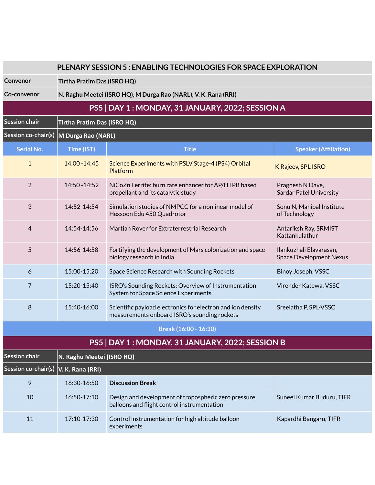|                       | PLENARY SESSION 5 : ENABLING TECHNOLOGIES FOR SPACE EXPLORATION |                                                                                                             |                                                           |  |
|-----------------------|-----------------------------------------------------------------|-------------------------------------------------------------------------------------------------------------|-----------------------------------------------------------|--|
| Convenor              |                                                                 | Tirtha Pratim Das (ISRO HQ)                                                                                 |                                                           |  |
| Co-convenor           |                                                                 | N. Raghu Meetei (ISRO HQ), M Durga Rao (NARL), V. K. Rana (RRI)                                             |                                                           |  |
|                       |                                                                 | PS5   DAY 1 : MONDAY, 31 JANUARY, 2022; SESSION A                                                           |                                                           |  |
| <b>Session chair</b>  | Tirtha Pratim Das (ISRO HQ)                                     |                                                                                                             |                                                           |  |
| Session co-chair(s)   | M Durga Rao (NARL)                                              |                                                                                                             |                                                           |  |
| <b>Serial No.</b>     | Time (IST)                                                      | <b>Title</b>                                                                                                | <b>Speaker (Affiliation)</b>                              |  |
| $\mathbf{1}$          | 14:00 - 14:45                                                   | Science Experiments with PSLV Stage-4 (PS4) Orbital<br><b>Platform</b>                                      | K Rajeev, SPL ISRO                                        |  |
| $\overline{2}$        | 14:50 - 14:52                                                   | NiCoZn Ferrite: burn rate enhancer for AP/HTPB based<br>propellant and its catalytic study                  | Pragnesh N Dave,<br><b>Sardar Patel University</b>        |  |
| 3                     | 14:52-14:54                                                     | Simulation studies of NMPCC for a nonlinear model of<br>Hexsoon Edu 450 Quadrotor                           | Sonu N, Manipal Institute<br>of Technology                |  |
| 4                     | 14:54-14:56                                                     | Martian Rover for Extraterrestrial Research                                                                 | Antariksh Ray, SRMIST<br>Kattankulathur                   |  |
| 5                     | 14:56-14:58                                                     | Fortifying the development of Mars colonization and space<br>biology research in India                      | Ilankuzhali Elavarasan,<br><b>Space Development Nexus</b> |  |
| 6                     | 15:00-15:20                                                     | Space Science Research with Sounding Rockets                                                                | Binoy Joseph, VSSC                                        |  |
| 7                     | 15:20-15:40                                                     | ISRO's Sounding Rockets: Overview of Instrumentation<br><b>System for Space Science Experiments</b>         | Virender Katewa, VSSC                                     |  |
| 8                     | 15:40-16:00                                                     | Scientific payload electronics for electron and ion density<br>measurements onboard ISRO's sounding rockets | Sreelatha P, SPL-VSSC                                     |  |
| Break (16:00 - 16:30) |                                                                 |                                                                                                             |                                                           |  |

# **PS5 | DAY 1 : MONDAY, 31 JANUARY, 2022; SESSION B**

| <b>Session chair</b>                 | N. Raghu Meetei (ISRO HQ) |                                                                                                     |                           |  |
|--------------------------------------|---------------------------|-----------------------------------------------------------------------------------------------------|---------------------------|--|
| Session co-chair(s) V. K. Rana (RRI) |                           |                                                                                                     |                           |  |
| 9                                    | 16:30-16:50               | <b>Discussion Break</b>                                                                             |                           |  |
| 10                                   | $16:50-17:10$             | Design and development of tropospheric zero pressure<br>balloons and flight control instrumentation | Suneel Kumar Buduru, TIFR |  |
| 11                                   | $17:10-17:30$             | Control instrumentation for high altitude balloon<br>experiments                                    | Kapardhi Bangaru, TIFR    |  |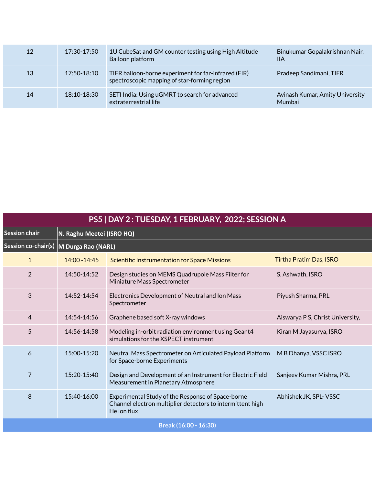| 12 | 17:30-17:50     | 1U CubeSat and GM counter testing using High Altitude<br>Balloon platform                            | Binukumar Gopalakrishnan Nair,<br><b>IIA</b> |
|----|-----------------|------------------------------------------------------------------------------------------------------|----------------------------------------------|
| 13 | 17:50-18:10     | TIFR balloon-borne experiment for far-infrared (FIR)<br>spectroscopic mapping of star-forming region | Pradeep Sandimani, TIFR                      |
| 14 | $18:10 - 18:30$ | SETI India: Using uGMRT to search for advanced<br>extraterrestrial life                              | Avinash Kumar, Amity University<br>Mumbai    |

| PS5   DAY 2 : TUESDAY, 1 FEBRUARY, 2022; SESSION A |                    |                                                                                                                                |                                  |  |  |
|----------------------------------------------------|--------------------|--------------------------------------------------------------------------------------------------------------------------------|----------------------------------|--|--|
| Session chair                                      |                    | N. Raghu Meetei (ISRO HQ)                                                                                                      |                                  |  |  |
| Session co-chair(s)                                | M Durga Rao (NARL) |                                                                                                                                |                                  |  |  |
| $\mathbf{1}$                                       | 14:00 - 14:45      | <b>Scientific Instrumentation for Space Missions</b>                                                                           | <b>Tirtha Pratim Das, ISRO</b>   |  |  |
| $\overline{2}$                                     | 14:50-14:52        | Design studies on MEMS Quadrupole Mass Filter for<br>Miniature Mass Spectrometer                                               | S. Ashwath, ISRO                 |  |  |
| 3                                                  | 14:52-14:54        | Electronics Development of Neutral and Ion Mass<br>Spectrometer                                                                | Piyush Sharma, PRL               |  |  |
| 4                                                  | 14:54-14:56        | Graphene based soft X-ray windows                                                                                              | Aiswarya P S, Christ University, |  |  |
| 5                                                  | 14:56-14:58        | Modeling in-orbit radiation environment using Geant4<br>simulations for the XSPECT instrument                                  | Kiran M Jayasurya, ISRO          |  |  |
| 6                                                  | 15:00-15:20        | Neutral Mass Spectrometer on Articulated Payload Platform<br>for Space-borne Experiments                                       | M B Dhanya, VSSC ISRO            |  |  |
| $\overline{7}$                                     | 15:20-15:40        | Design and Development of an Instrument for Electric Field<br>Measurement in Planetary Atmosphere                              | Sanjeev Kumar Mishra, PRL        |  |  |
| 8                                                  | 15:40-16:00        | Experimental Study of the Response of Space-borne<br>Channel electron multiplier detectors to intermittent high<br>He jon flux | Abhishek JK, SPL-VSSC            |  |  |
| Break (16:00 - 16:30)                              |                    |                                                                                                                                |                                  |  |  |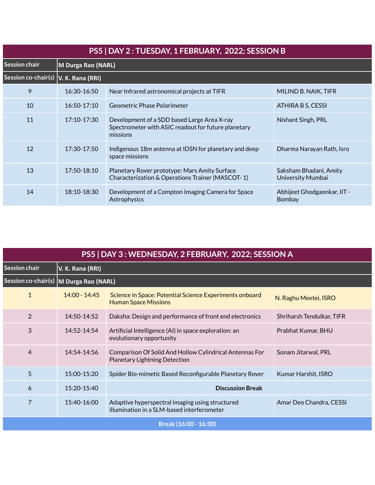| PS5   DAY 2 : TUESDAY, 1 FEBRUARY, 2022; SESSION B |               |                                                                                                                |                                             |  |  |
|----------------------------------------------------|---------------|----------------------------------------------------------------------------------------------------------------|---------------------------------------------|--|--|
| <b>Session chair</b>                               |               | M Durga Rao (NARL)                                                                                             |                                             |  |  |
| Session co-chair(s)   V. K. Rana (RRI)             |               |                                                                                                                |                                             |  |  |
| 9                                                  | $16:30-16:50$ | Near Infrared astronomical projects at TIFR                                                                    | MILIND B. NAIK, TIFR                        |  |  |
| 10                                                 | $16:50-17:10$ | Geometric Phase Polarimeter                                                                                    | ATHIRA B S, CESSI                           |  |  |
| 11                                                 | $17:10-17:30$ | Development of a SDD based Large Area X-ray<br>Spectrometer with ASIC readout for future planetary<br>missions | Nishant Singh, PRL                          |  |  |
| 12                                                 | 17:30-17:50   | Indigenous 18m antenna at IDSN for planetary and deep<br>space missions                                        | Dharma Narayan Rath, Isro                   |  |  |
| 13                                                 | $17:50-18:10$ | Planetary Rover prototype: Mars Amity Surface<br>Characterization & Operations Trainer (MASCOT-1)              | Saksham Bhadani, Amity<br>University Mumbai |  |  |
| 14                                                 | 18:10-18:30   | Development of a Compton Imaging Camera for Space<br>Astrophysics                                              | Abhijeet Ghodgaonkar, IIT -<br>Bombay       |  |  |

| PS5   DAY 3 : WEDNESDAY, 2 FEBRUARY, 2022; SESSION A |                  |                                                                                                 |                           |  |  |
|------------------------------------------------------|------------------|-------------------------------------------------------------------------------------------------|---------------------------|--|--|
| <b>Session chair</b>                                 | V. K. Rana (RRI) |                                                                                                 |                           |  |  |
|                                                      |                  | Session co-chair(s) M Durga Rao (NARL)                                                          |                           |  |  |
| $\mathbf{1}$                                         | $14:00 - 14:45$  | Science in Space: Potential Science Experiments onboard<br><b>Human Space Missions</b>          | N. Raghu Meetei, ISRO     |  |  |
| $\overline{2}$                                       | 14:50-14:52      | Daksha: Design and performance of front end electronics                                         | Shriharsh Tendulkar, TIFR |  |  |
| 3                                                    | 14:52-14:54      | Artificial Intelligence (AI) in space exploration: an<br>evolutionary opportunity               | Prabhat Kumar, BHU        |  |  |
| 4                                                    | 14:54-14:56      | Comparison Of Solid And Hollow Cylindrical Antennas For<br><b>Planetary Lightning Detection</b> | Sonam Jitarwal, PRL       |  |  |
| 5                                                    | 15:00-15:20      | Spider Bio-mimetic Based Reconfigurable Planetary Rover                                         | Kumar Harshit, ISRO       |  |  |
| 6                                                    | 15:20-15:40      | <b>Discussion Break</b>                                                                         |                           |  |  |
| 7                                                    | 15:40-16:00      | Adaptive hyperspectral imaging using structured<br>illumination in a SLM-based interferometer   | Amar Deo Chandra, CESSI   |  |  |
| Break (16:00 - 16:30)                                |                  |                                                                                                 |                           |  |  |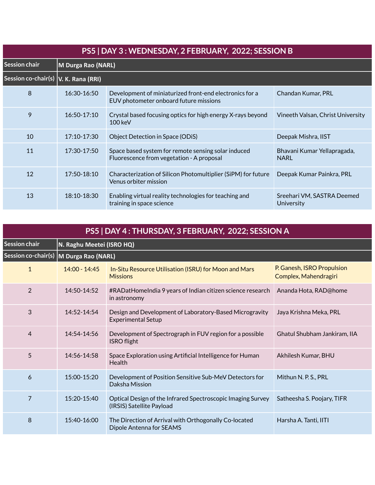| PS5   DAY 3 : WEDNESDAY, 2 FEBRUARY, 2022; SESSION B |               |                                                                                                   |                                            |  |  |
|------------------------------------------------------|---------------|---------------------------------------------------------------------------------------------------|--------------------------------------------|--|--|
| Session chair                                        |               | M Durga Rao (NARL)                                                                                |                                            |  |  |
| Session co-chair(s)   V. K. Rana (RRI)               |               |                                                                                                   |                                            |  |  |
| 8                                                    | 16:30-16:50   | Development of miniaturized front-end electronics for a<br>EUV photometer onboard future missions | Chandan Kumar, PRL                         |  |  |
| 9                                                    | $16:50-17:10$ | Crystal based focusing optics for high energy X-rays beyond<br>$100 \text{ keV}$                  | Vineeth Valsan, Christ University          |  |  |
| 10                                                   | 17:10-17:30   | Object Detection in Space (ODiS)                                                                  | Deepak Mishra, IIST                        |  |  |
| 11                                                   | 17:30-17:50   | Space based system for remote sensing solar induced<br>Fluorescence from vegetation - A proposal  | Bhavani Kumar Yellapragada,<br><b>NARL</b> |  |  |
| 12                                                   | 17:50-18:10   | Characterization of Silicon Photomultiplier (SiPM) for future<br>Venus orbiter mission            | Deepak Kumar Painkra, PRL                  |  |  |
| 13                                                   | 18:10-18:30   | Enabling virtual reality technologies for teaching and<br>training in space science               | Sreehari VM, SASTRA Deemed<br>University   |  |  |

| PS5   DAY 4 : THURSDAY, 3 FEBRUARY, 2022; SESSION A |                                        |                                                                                          |                                                     |  |  |
|-----------------------------------------------------|----------------------------------------|------------------------------------------------------------------------------------------|-----------------------------------------------------|--|--|
| <b>Session chair</b>                                | N. Raghu Meetei (ISRO HQ)              |                                                                                          |                                                     |  |  |
|                                                     | Session co-chair(s) M Durga Rao (NARL) |                                                                                          |                                                     |  |  |
| $\mathbf{1}$                                        | 14:00 - 14:45                          | In-Situ Resource Utilisation (ISRU) for Moon and Mars<br><b>Missions</b>                 | P. Ganesh, ISRO Propulsion<br>Complex, Mahendragiri |  |  |
| $\overline{2}$                                      | 14:50-14:52                            | #RADatHomeIndia 9 years of Indian citizen science research<br>in astronomy               | Ananda Hota, RAD@home                               |  |  |
| 3                                                   | 14:52-14:54                            | Design and Development of Laboratory-Based Microgravity<br><b>Experimental Setup</b>     | Jaya Krishna Meka, PRL                              |  |  |
| 4                                                   | $14:54-14:56$                          | Development of Spectrograph in FUV region for a possible<br><b>ISRO</b> flight           | Ghatul Shubham Jankiram, IIA                        |  |  |
| 5                                                   | 14:56-14:58                            | Space Exploration using Artificial Intelligence for Human<br>Health                      | Akhilesh Kumar, BHU                                 |  |  |
| 6                                                   | $15:00 - 15:20$                        | Development of Position Sensitive Sub-MeV Detectors for<br>Daksha Mission                | Mithun N. P. S., PRL                                |  |  |
| $\overline{7}$                                      | 15:20-15:40                            | Optical Design of the Infrared Spectroscopic Imaging Survey<br>(IRSIS) Satellite Payload | Satheesha S. Poojary, TIFR                          |  |  |
| 8                                                   | 15:40-16:00                            | The Direction of Arrival with Orthogonally Co-located<br>Dipole Antenna for SEAMS        | Harsha A. Tanti, IITI                               |  |  |